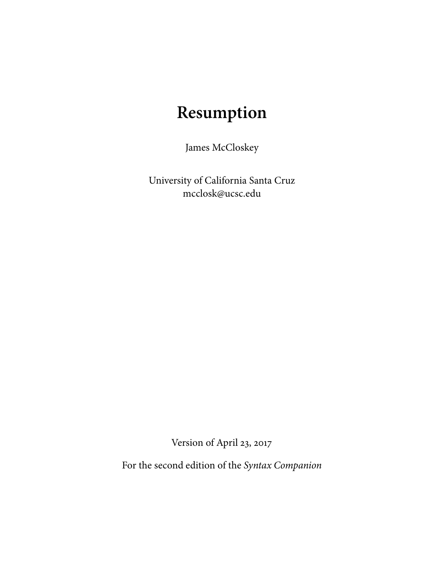# **Resumption**

James McCloskey

University of California Santa Cruz mcclosk@ucsc.edu

Version of April 23, 2017

For the second edition of the Syntax Companion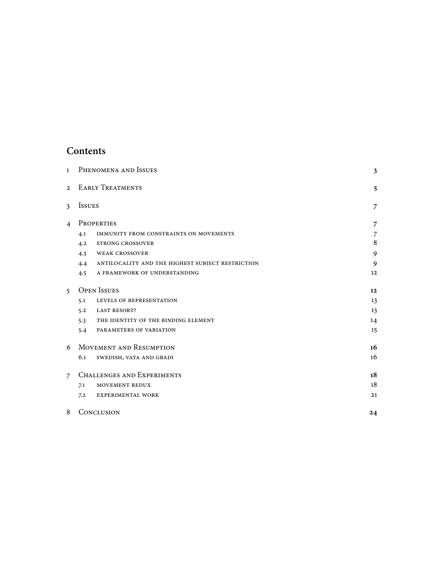# **Contents**

| $\mathbf{1}$   | PHENOMENA AND ISSUES                                    |                |  |  |  |  |  |
|----------------|---------------------------------------------------------|----------------|--|--|--|--|--|
| $\mathfrak{D}$ | <b>EARLY TREATMENTS</b>                                 |                |  |  |  |  |  |
| 3              | <b>ISSUES</b>                                           | 7              |  |  |  |  |  |
| $\overline{4}$ | PROPERTIES                                              |                |  |  |  |  |  |
|                | 4.1<br>IMMUNITY FROM CONSTRAINTS ON MOVEMENTS           | 7              |  |  |  |  |  |
|                | <b>STRONG CROSSOVER</b><br>4.2                          | $\,8\,$        |  |  |  |  |  |
|                | <b>WEAK CROSSOVER</b><br>4.3                            | $\mathfrak{g}$ |  |  |  |  |  |
|                | ANTILOCALITY AND THE HIGHEST SUBJECT RESTRICTION<br>4.4 | 9              |  |  |  |  |  |
|                | A FRAMEWORK OF UNDERSTANDING<br>4.5                     | 12             |  |  |  |  |  |
| $5^{\circ}$    | <b>OPEN ISSUES</b>                                      | 12             |  |  |  |  |  |
|                | 5.1<br>LEVELS OF REPRESENTATION                         | 13             |  |  |  |  |  |
|                | <b>LAST RESORT?</b><br>5.2                              | 13             |  |  |  |  |  |
|                | THE IDENTITY OF THE BINDING ELEMENT<br>5.3              | 14             |  |  |  |  |  |
|                | PARAMETERS OF VARIATION<br>5.4                          | 15             |  |  |  |  |  |
| 6              | <b>MOVEMENT AND RESUMPTION</b>                          |                |  |  |  |  |  |
|                | 6.1<br>SWEDISH, VATA AND GBADI                          | 16             |  |  |  |  |  |
| $\overline{7}$ | <b>CHALLENGES AND EXPERIMENTS</b>                       |                |  |  |  |  |  |
|                | MOVEMENT REDUX<br>7.1                                   | 18             |  |  |  |  |  |
|                | <b>EXPERIMENTAL WORK</b><br>7.2                         | 21             |  |  |  |  |  |
| 8              | CONCLUSION                                              |                |  |  |  |  |  |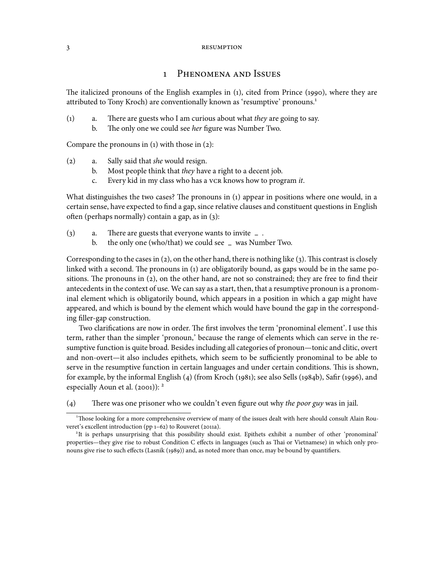# 1 PHENOMENA AND ISSUES

The italicized pronouns of the English examples in  $(1)$ , cited from Prince  $(1990)$ , where they are attributed to Tony Kroch) are conventionally known as 'resumptive' pronouns.

- $(1)$  a. There are guests who I am curious about what they are going to say.
	- b. The only one we could see her figure was Number Two.

Compare the pronouns in  $(1)$  with those in  $(2)$ :

- $(2)$  a. Sally said that she would resign.
	- b. Most people think that they have a right to a decent job.
	- c. Every kid in my class who has a vcR knows how to program  $it$ .

What distinguishes the two cases? The pronouns in  $(i)$  appear in positions where one would, in a certain sense, have expected to find a gap, since relative clauses and constituent questions in English often (perhaps normally) contain a gap, as in  $(3)$ :

- (3) a. There are guests that everyone wants to invite  $\angle$ .<br>b. the only one (who/that) we could see  $\angle$  was Num
	- b. the only one (who/that) we could see **–** was Number Two.

Corresponding to the cases in  $(2)$ , on the other hand, there is nothing like  $(3)$ . This contrast is closely linked with a second. The pronouns in (1) are obligatorily bound, as gaps would be in the same positions. The pronouns in  $(2)$ , on the other hand, are not so constrained; they are free to find their antecedents in the context of use. We can say as a start, then, that a resumptive pronoun is a pronominal element which is obligatorily bound, which appears in a position in which a gap might have appeared, and which is bound by the element which would have bound the gap in the corresponding filler-gap construction.

Two clarifications are now in order. The first involves the term 'pronominal element'. I use this term, rather than the simpler 'pronoun,' because the range of elements which can serve in the resumptive function is quite broad. Besides including all categories of pronoun—tonic and clitic, overt and non-overt—it also includes epithets, which seem to be sufficiently pronominal to be able to serve in the resumptive function in certain languages and under certain conditions. This is shown, for example, by the informal English  $(4)$  (from Kroch  $(1981)$ ; see also Sells  $(1984b)$ , Safir  $(1996)$ , and especially Aoun et al.  $(2001)$ : <sup>2</sup>

(4) There was one prisoner who we couldn't even figure out why the poor guy was in jail.

<sup>&</sup>lt;sup>1</sup>Those looking for a more comprehensive overview of many of the issues dealt with here should consult Alain Rouveret's excellent introduction (pp  $1-62$ ) to Rouveret (2011a).

<sup>&</sup>lt;sup>2</sup>It is perhaps unsurprising that this possibility should exist. Epithets exhibit a number of other 'pronominal' properties—they give rise to robust Condition C effects in languages (such as Thai or Vietnamese) in which only pronouns give rise to such effects (Lasnik (1989)) and, as noted more than once, may be bound by quantifiers.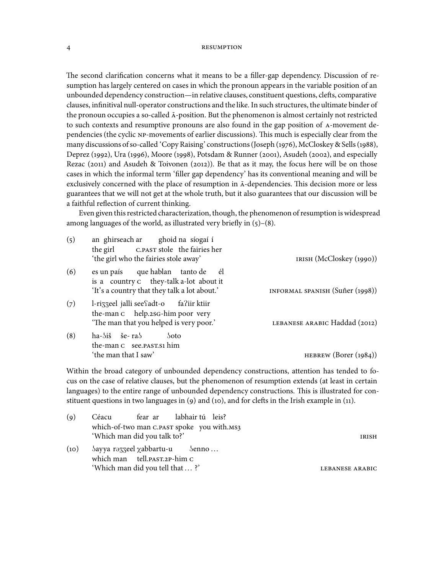The second clarification concerns what it means to be a filler-gap dependency. Discussion of resumption has largely centered on cases in which the pronoun appears in the variable position of an unbounded dependency construction—in relative clauses, constituent questions, clefts, comparative clauses, infinitival null-operator constructions and the like. In such structures, the ultimate binder of the pronoun occupies a so-called  $\bar{A}$ -position. But the phenomenon is almost certainly not restricted to such contexts and resumptive pronouns are also found in the gap position of A-movement dependencies (the cyclic NP-movements of earlier discussions). This much is especially clear from the many discussions of so-called 'Copy Raising' constructions (Joseph (1976), McCloskey & Sells (1988), Deprez (1992), Ura (1996), Moore (1998), Potsdam & Runner (2001), Asudeh (2002), and especially Rezac (2011) and Asudeh & Toivonen (2012)). Be that as it may, the focus here will be on those cases in which the informal term 'filler gap dependency' has its conventional meaning and will be exclusively concerned with the place of resumption in  $\bar{A}$ -dependencies. This decision more or less guarantees that we will not get at the whole truth, but it also guarantees that our discussion will be a faithful reflection of current thinking.

Even given this restricted characterization, though, the phenomenon of resumption is widespread among languages of the world, as illustrated very briefly in  $(5)-(8)$ .

| (5) | an ghirseach ar ghoid na síogaí í<br>the girl C.PAST stole the fairies her<br>'the girl who the fairies stole away'          | IRISH (McCloskey (1990))        |
|-----|------------------------------------------------------------------------------------------------------------------------------|---------------------------------|
| (6) | es un país que hablan tanto de él<br>is a country c they-talk a-lot about it<br>'It's a country that they talk a lot about.' | INFORMAL SPANISH (Suñer (1998)) |
| (7) | l-rizzeel jalli see fadt-o fa?iir ktiir<br>the-man c help.2sG-him poor very<br>'The man that you helped is very poor.'       | LEBANESE ARABIC Haddad (2012)   |
| (8) | ha-5iš še- ra5<br>50to<br>the-man c see. PAST. S1 him<br>'the man that I saw'                                                | HEBREW $(Borer (1984))$         |

Within the broad category of unbounded dependency constructions, attention has tended to focus on the case of relative clauses, but the phenomenon of resumption extends (at least in certain languages) to the entire range of unbounded dependency constructions. This is illustrated for constituent questions in two languages in  $(9)$  and  $(10)$ , and for clefts in the Irish example in  $(11)$ .

| (q)  | Céacu fear ar labhair tú leis?                                             |  |                 |
|------|----------------------------------------------------------------------------|--|-----------------|
|      | which-of-two man c.past spoke you with.Ms3<br>'Which man did you talk to?' |  | IRISH           |
| (10) | Sayya rəzzeel xabbartu-u Senno<br>which man tell. PAST. 2P-him C           |  |                 |
|      | 'Which man did you tell that ?'                                            |  | LEBANESE ARABIC |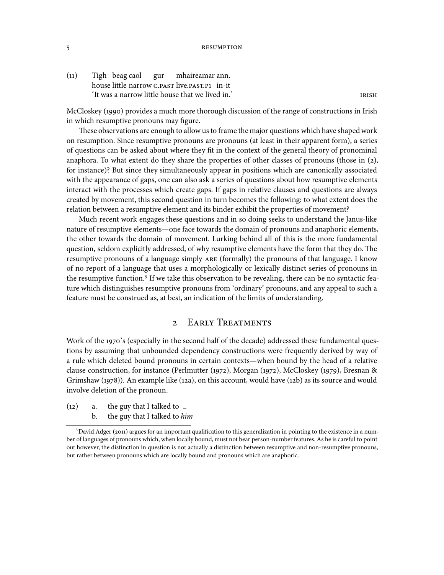(11) Tigh beag caol house little narrow C.PAST live.PAST.P1 in-it gur mhaireamar ann. 'It was a narrow little house that we lived in.'

McCloskey (1990) provides a much more thorough discussion of the range of constructions in Irish in which resumptive pronouns may figure.

These observations are enough to allow us to frame the major questions which have shaped work on resumption. Since resumptive pronouns are pronouns (at least in their apparent form), a series of questions can be asked about where they fit in the context of the general theory of pronominal anaphora. To what extent do they share the properties of other classes of pronouns (those in  $(2)$ , for instance)? But since they simultaneously appear in positions which are canonically associated with the appearance of gaps, one can also ask a series of questions about how resumptive elements interact with the processes which create gaps. If gaps in relative clauses and questions are always created by movement, this second question in turn becomes the following: to what extent does the relation between a resumptive element and its binder exhibit the properties of movement?

Much recent work engages these questions and in so doing seeks to understand the Janus-like nature of resumptive elements—one face towards the domain of pronouns and anaphoric elements, the other towards the domain of movement. Lurking behind all of this is the more fundamental question, seldom explicitly addressed, of why resumptive elements have the form that they do. The resumptive pronouns of a language simply ARE (formally) the pronouns of that language. I know of no report of a language that uses a morphologically or lexically distinct series of pronouns in the resumptive function.<sup>3</sup> If we take this observation to be revealing, there can be no syntactic feature which distinguishes resumptive pronouns from 'ordinary' pronouns, and any appeal to such a feature must be construed as, at best, an indication of the limits of understanding.

# 2 EARLY TREATMENTS

Work of the 1970's (especially in the second half of the decade) addressed these fundamental questions by assuming that unbounded dependency constructions were frequently derived by way of a rule which deleted bound pronouns in certain contexts—when bound by the head of a relative clause construction, for instance (Perlmutter (1972), Morgan (1972), McCloskey (1979), Bresnan & Grimshaw (1978)). An example like (12a), on this account, would have (12b) as its source and would involve deletion of the pronoun.

() a. the guy that I talked to **–** b. the guy that I talked to him

 $3$ David Adger (2011) argues for an important qualification to this generalization in pointing to the existence in a number of languages of pronouns which, when locally bound, must not bear person-number features. As he is careful to point out however, the distinction in question is not actually a distinction between resumptive and non-resumptive pronouns, but rather between pronouns which are locally bound and pronouns which are anaphoric.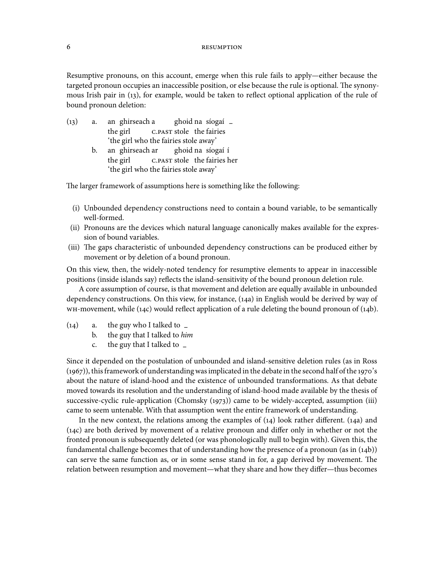Resumptive pronouns, on this account, emerge when this rule fails to apply—either because the targeted pronoun occupies an inaccessible position, or else because the rule is optional. The synonymous Irish pair in (13), for example, would be taken to reflect optional application of the rule of bound pronoun deletion:

 $(13)$  a. the girl ghirseach a C.PAST stole the fairies ghoid na síogaí **–** 'the girl who the fairies stole away'  $b.$ the girl ghirseach ar C.PAST stole the fairies her ghoid na síogaí í

'the girl who the fairies stole away'

The larger framework of assumptions here is something like the following:

- (i) Unbounded dependency constructions need to contain a bound variable, to be semantically well-formed.
- (ii) Pronouns are the devices which natural language canonically makes available for the expression of bound variables.
- (iii) The gaps characteristic of unbounded dependency constructions can be produced either by movement or by deletion of a bound pronoun.

On this view, then, the widely-noted tendency for resumptive elements to appear in inaccessible positions (inside islands say) reflects the island-sensitivity of the bound pronoun deletion rule.

A core assumption of course, is that movement and deletion are equally available in unbounded dependency constructions. On this view, for instance, (14a) in English would be derived by way of  $wH$ -movement, while (14c) would reflect application of a rule deleting the bound pronoun of (14b).

- (14) a. the guy who I talked to <u>–</u><br>b. the guy that I talked to *hin* 
	- the guy that I talked to him
	- c. the guy that I talked to **–**

Since it depended on the postulation of unbounded and island-sensitive deletion rules (as in Ross  $(1967)$ ), this framework of understanding was implicated in the debate in the second half of the 1970's about the nature of island-hood and the existence of unbounded transformations. As that debate moved towards its resolution and the understanding of island-hood made available by the thesis of successive-cyclic rule-application (Chomsky  $(1973)$ ) came to be widely-accepted, assumption (iii) came to seem untenable. With that assumption went the entire framework of understanding.

In the new context, the relations among the examples of  $(14)$  look rather different.  $(14a)$  and  $(14c)$  are both derived by movement of a relative pronoun and differ only in whether or not the fronted pronoun is subsequently deleted (or was phonologically null to begin with). Given this, the fundamental challenge becomes that of understanding how the presence of a pronoun (as in  $(14b)$ ) can serve the same function as, or in some sense stand in for, a gap derived by movement. The relation between resumption and movement—what they share and how they differ—thus becomes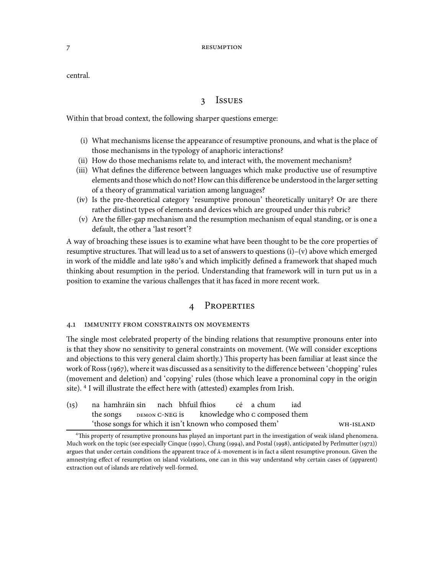central.

# 3 ISSUES

Within that broad context, the following sharper questions emerge:

- (i) What mechanisms license the appearance of resumptive pronouns, and what is the place of those mechanisms in the typology of anaphoric interactions?
- (ii) How do those mechanisms relate to, and interact with, the movement mechanism?
- (iii) What defines the difference between languages which make productive use of resumptive elements and those which do not? How can this difference be understood in the larger setting of a theory of grammatical variation among languages?
- (iv) Is the pre-theoretical category 'resumptive pronoun' theoretically unitary? Or are there rather distinct types of elements and devices which are grouped under this rubric?
- (v) Are the filler-gap mechanism and the resumption mechanism of equal standing, or is one a default, the other a 'last resort'?

A way of broaching these issues is to examine what have been thought to be the core properties of resumptive structures. That will lead us to a set of answers to questions (i)–(v) above which emerged in work of the middle and late 1980's and which implicitly defined a framework that shaped much thinking about resumption in the period. Understanding that framework will in turn put us in a position to examine the various challenges that it has faced in more recent work.

# 4 PROPERTIES

# 4.1 IMMUNITY FROM CONSTRAINTS ON MOVEMENTS

The single most celebrated property of the binding relations that resumptive pronouns enter into is that they show no sensitivity to general constraints on movement. (We will consider exceptions and objections to this very general claim shortly.) This property has been familiar at least since the work of Ross (1967), where it was discussed as a sensitivity to the difference between 'chopping' rules (movement and deletion) and 'copying' rules (those which leave a pronominal copy in the origin site). I will illustrate the effect here with (attested) examples from Irish.

| (15) na hamhráin sin nach bhfuil fhios cé a chum         |  |  |  | iad |           |
|----------------------------------------------------------|--|--|--|-----|-----------|
| the songs DEMON C-NEG is knowledge who c composed them   |  |  |  |     |           |
| 'those songs for which it isn't known who composed them' |  |  |  |     | WH-ISLAND |

<sup>&</sup>lt;sup>4</sup>This property of resumptive pronouns has played an important part in the investigation of weak island phenomena. Much work on the topic (see especially Cinque (1990), Chung (1994), and Postal (1998), anticipated by Perlmutter (1972)) argues that under certain conditions the apparent trace of  $\bar{A}$ -movement is in fact a silent resumptive pronoun. Given the amnestying effect of resumption on island violations, one can in this way understand why certain cases of (apparent) extraction out of islands are relatively well-formed.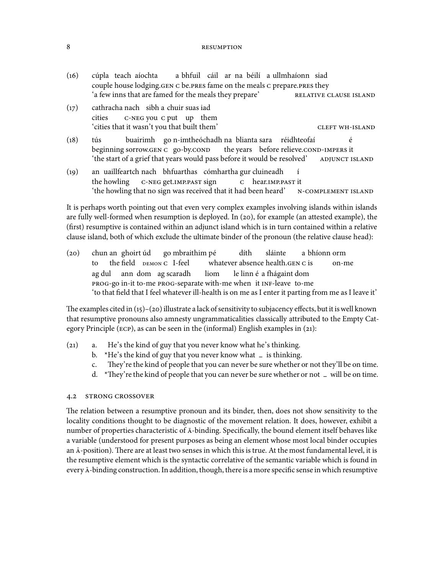- () cúpla teach aíochta couple house lodging. GEN C be. PRES fame on the meals C prepare. PRES they a bhfuil cáil ar na béilí a ullmhaíonn siad 'a few inns that are famed for the meals they prepare'
- (17) cathracha nach sibh a chuir suas iad cities C-NEG you c put up them 'cities that it wasn't you that built them' -
- $(18)$  tús beginning sorrow.GEN C go-by.COND buairimh go n-imtheóchadh na blianta sara réidhteofaí the years before relieve.COND-IMPERS it é 'the start of a grief that years would pass before it would be resolved'
- $(19)$ the howling uaillfeartch nach bhfuarthas cómhartha gur cluineadh C-NEG get.IMP.PAST sign c hear.IMP.PAST it í 'the howling that no sign was received that it had been heard' -

It is perhaps worth pointing out that even very complex examples involving islands within islands are fully well-formed when resumption is deployed. In  $(20)$ , for example (an attested example), the (first) resumptive is contained within an adjunct island which is in turn contained within a relative clause island, both of which exclude the ultimate binder of the pronoun (the relative clause head):

(20) chun an ghoirt úd to the field DEMON C I-feel go mbraithim pé whatever absence health.GEN C is díth sláinte a bhíonn orm on-me ag dul PROG-go in-it to-me PROG-separate with-me when it INF-leave to-me ann dom ag scaradh liom le linn é a fhágaint dom 'to that field that I feel whatever ill-health is on me as I enter it parting from me as I leave it'

The examples cited in  $(15)-(20)$  illustrate a lack of sensitivity to subjacency effects, but it is well known that resumptive pronouns also amnesty ungrammaticalities classically attributed to the Empty Category Principle ( $ECP$ ), as can be seen in the (informal) English examples in (21):

- $(21)$  a. He's the kind of guy that you never know what he's thinking.
	- b. \*He's the kind of guy that you never know what **–** is thinking.
	- c. They're the kind of people that you can never be sure whether or not they'll be on time.
	- d. \*They're the kind of people that you can never be sure whether or not  $\bar{z}$  will be on time.

#### 4.2 STRONG CROSSOVER

The relation between a resumptive pronoun and its binder, then, does not show sensitivity to the locality conditions thought to be diagnostic of the movement relation. It does, however, exhibit a number of properties characteristic of  $\bar{A}$ -binding. Specifically, the bound element itself behaves like a variable (understood for present purposes as being an element whose most local binder occupies an  $\bar{A}$ -position). There are at least two senses in which this is true. At the most fundamental level, it is the resumptive element which is the syntactic correlative of the semantic variable which is found in every  $\bar{A}$ -binding construction. In addition, though, there is a more specific sense in which resumptive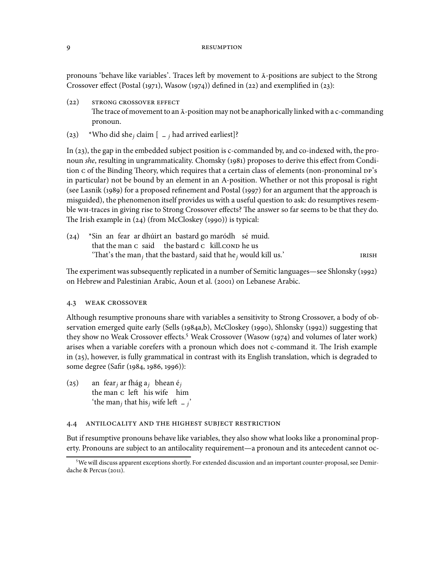pronouns 'behave like variables'. Traces left by movement to  $\bar{A}$ -positions are subject to the Strong Crossover effect (Postal (1971), Wasow (1974)) defined in (22) and exemplified in (23):

- $(22)$  STRONG CROSSOVER EFFECT The trace of movement to an  $\bar{A}$ -position may not be anaphorically linked with a c-commanding pronoun.
- (23) \*Who did she<sub>j</sub> claim  $\left[ \begin{array}{c} 2 \end{array} \right]$  **a** arrived earliest]?

In  $(23)$ , the gap in the embedded subject position is c-commanded by, and co-indexed with, the pronoun she, resulting in ungrammaticality. Chomsky (1981) proposes to derive this effect from Condition c of the Binding Theory, which requires that a certain class of elements (non-pronominal DP's in particular) not be bound by an element in an A-position. Whether or not this proposal is right (see Lasnik (1989) for a proposed refinement and Postal (1997) for an argument that the approach is misguided), the phenomenon itself provides us with a useful question to ask: do resumptives resemble WH-traces in giving rise to Strong Crossover effects? The answer so far seems to be that they do. The Irish example in  $(24)$  (from McCloskey (1990)) is typical:

 $(24)$ that the man c said the bastard c kill.conp he us an fear ar dhúirt an bastard go maródh sé muid. "That's the man<sub>j</sub> that the bastard<sub>j</sub> said that he<sub>j</sub> would kill us.' TRISH

The experiment was subsequently replicated in a number of Semitic languages—see Shlonsky (1992) on Hebrew and Palestinian Arabic, Aoun et al. (2001) on Lebanese Arabic.

# 4.3 WEAK CROSSOVER

Although resumptive pronouns share with variables a sensitivity to Strong Crossover, a body of observation emerged quite early (Sells (1984a,b), McCloskey (1990), Shlonsky (1992)) suggesting that they show no Weak Crossover effects.<sup>5</sup> Weak Crossover (Wasow (1974) and volumes of later work) arises when a variable corefers with a pronoun which does not c-command it. The Irish example in (25), however, is fully grammatical in contrast with its English translation, which is degraded to some degree (Safir (1984, 1986, 1996)):

 $(25)$ the man c left his wife him fear $_j$  ar fhág a $_j$  bhean é $_j$ 'the man<sub>j</sub> that his<sub>j</sub> wife left  $\frac{1}{j}$ '

# 4.4 ANTILOCALITY AND THE HIGHEST SUBJECT RESTRICTION

But if resumptive pronouns behave like variables, they also show what looks like a pronominal property. Pronouns are subject to an antilocality requirement—a pronoun and its antecedent cannot oc-

<sup>&</sup>lt;sup>5</sup>We will discuss apparent exceptions shortly. For extended discussion and an important counter-proposal, see Demirdache & Percus (2011).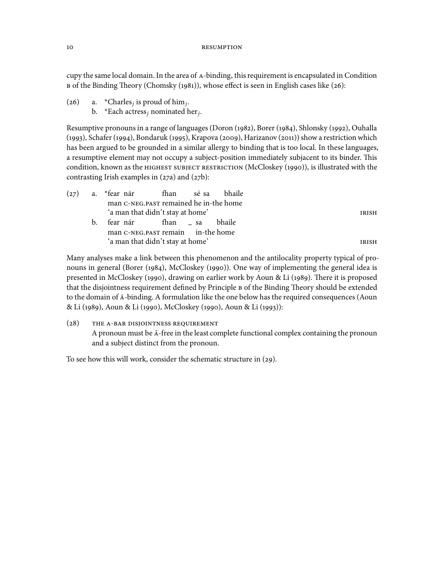cupy the same local domain. In the area of A-binding, this requirement is encapsulated in Condition B of the Binding Theory (Chomsky (1981)), whose effect is seen in English cases like (26):

- (26) a. \*Charles<sub>j</sub> is proud of him<sub>j</sub>.
	- b. \*Each actress, nominated her<sub>j</sub>.

Resumptive pronouns in a range of languages (Doron (1982), Borer (1984), Shlonsky (1992), Ouhalla (1993), Schafer (1994), Bondaruk (1995), Krapova (2009), Harizanov (2011)) show a restriction which has been argued to be grounded in a similar allergy to binding that is too local. In these languages, a resumptive element may not occupy a subject-position immediately subjacent to its binder. This condition, known as the HIGHEST SUBJECT RESTRICTION (McCloskey (1990)), is illustrated with the contrasting Irish examples in  $(27a)$  and  $(27b)$ :

|  |    | man C-NEG.PAST remained he in-the home |  |  |              |
|--|----|----------------------------------------|--|--|--------------|
|  |    | 'a man that didn't stay at home'       |  |  | IRISH        |
|  | b. | fear nár fhan Lea bhaile               |  |  |              |
|  |    | man C-NEG.PAST remain in-the home      |  |  |              |
|  |    | 'a man that didn't stay at home'       |  |  | <b>IRISH</b> |

Many analyses make a link between this phenomenon and the antilocality property typical of pronouns in general (Borer (1984), McCloskey (1990)). One way of implementing the general idea is presented in McCloskey (1990), drawing on earlier work by Aoun & Li (1989). There it is proposed that the disjointness requirement defined by Principle B of the Binding Theory should be extended to the domain of  $\bar{A}$ -binding. A formulation like the one below has the required consequences (Aoun & Li (1989), Aoun & Li (1990), McCloskey (1990), Aoun & Li (1993)):

(28) THE A-BAR DISJOINTNESS REQUIREMENT A pronoun must be  $\bar{A}$ -free in the least complete functional complex containing the pronoun and a subject distinct from the pronoun.

To see how this will work, consider the schematic structure in  $(29)$ .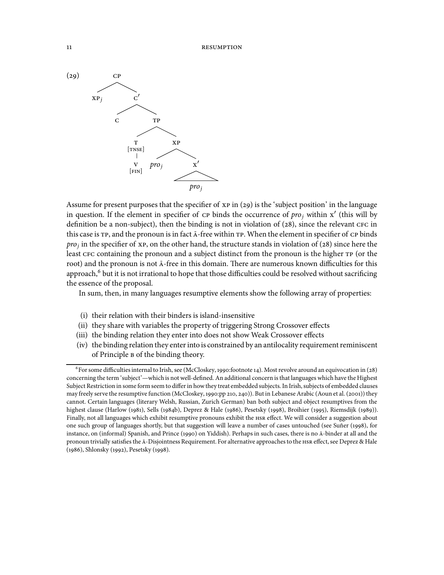

Assume for present purposes that the specifier of  $xp$  in (29) is the 'subject position' in the language in question. If the element in specifier of  $\overline{CP}$  binds the occurrence of  $\overline{pro}_j$  within x' (this will by definition be a non-subject), then the binding is not in violation of  $(28)$ , since the relevant  $\text{CFC}$  in this case is  $TP$ , and the pronoun is in fact  $\bar{A}$ -free within  $TP$ . When the element in specifier of  $CP$  binds  $proj$  in the specifier of xp, on the other hand, the structure stands in violation of (28) since here the least CFC containing the pronoun and a subject distinct from the pronoun is the higher TP (or the root) and the pronoun is not  $\bar{A}$ -free in this domain. There are numerous known difficulties for this approach,<sup>6</sup> but it is not irrational to hope that those difficulties could be resolved without sacrificing the essence of the proposal.

In sum, then, in many languages resumptive elements show the following array of properties:

- (i) their relation with their binders is island-insensitive
- (ii) they share with variables the property of triggering Strong Crossover effects
- (iii) the binding relation they enter into does not show Weak Crossover effects
- (iv) the binding relation they enter into is constrained by an antilocality requirement reminiscent of Principle **B** of the binding theory.

 $^6$  For some difficulties internal to Irish, see (McCloskey, 1990:footnote 14). Most revolve around an equivocation in (28) concerning the term 'subject'—which is not well-defined. An additional concern is that languages which have the Highest Subject Restriction in some form seem to differ in how they treat embedded subjects. In Irish, subjects of embedded clauses may freely serve the resumptive function (McCloskey, 1990:pp 210, 240)). But in Lebanese Arabic (Aoun et al. (2001)) they cannot. Certain languages (literary Welsh, Russian, Zurich German) ban both subject and object resumptives from the highest clause (Harlow (1981), Sells (1984b), Deprez & Hale (1986), Pesetsky (1998), Broihier (1995), Riemsdijk (1989)). Finally, not all languages which exhibit resumptive pronouns exhibit the HSR effect. We will consider a suggestion about one such group of languages shortly, but that suggestion will leave a number of cases untouched (see Suñer (1998), for instance, on (informal) Spanish, and Prince (1990) on Yiddish). Perhaps in such cases, there is no  $\bar{A}$ -binder at all and the pronoun trivially satisfies the  $\bar{A}$ -Disjointness Requirement. For alternative approaches to the HSR effect, see Deprez & Hale (1986), Shlonsky (1992), Pesetsky (1998).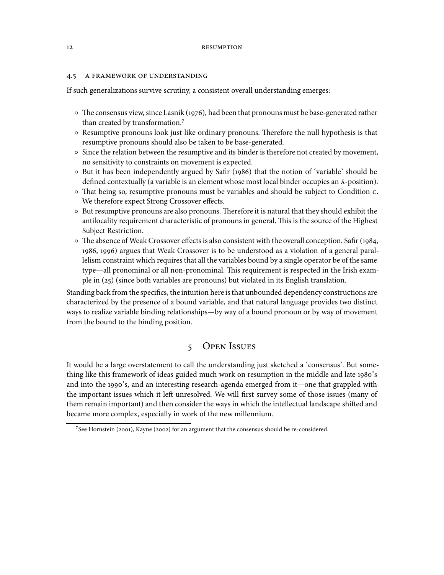## 4.5 A FRAMEWORK OF UNDERSTANDING

If such generalizations survive scrutiny, a consistent overall understanding emerges:

- $\circ$  The consensus view, since Lasnik (1976), had been that pronouns must be base-generated rather than created by transformation.
- $\circ$  Resumptive pronouns look just like ordinary pronouns. Therefore the null hypothesis is that resumptive pronouns should also be taken to be base-generated.
- Since the relation between the resumptive and its binder is therefore not created by movement, no sensitivity to constraints on movement is expected.
- o But it has been independently argued by Safir (1986) that the notion of 'variable' should be defined contextually (a variable is an element whose most local binder occupies an  $\bar{A}$ -position).
- $\circ$  That being so, resumptive pronouns must be variables and should be subject to Condition c. We therefore expect Strong Crossover effects.
- $\circ$  But resumptive pronouns are also pronouns. Therefore it is natural that they should exhibit the antilocality requirement characteristic of pronouns in general. This is the source of the Highest Subject Restriction.
- $\circ$  The absence of Weak Crossover effects is also consistent with the overall conception. Safir (1984, 1986, 1996) argues that Weak Crossover is to be understood as a violation of a general parallelism constraint which requires that all the variables bound by a single operator be of the same type—all pronominal or all non-pronominal. This requirement is respected in the Irish example in  $(25)$  (since both variables are pronouns) but violated in its English translation.

Standing back from the specifics, the intuition here is that unbounded dependency constructions are characterized by the presence of a bound variable, and that natural language provides two distinct ways to realize variable binding relationships—by way of a bound pronoun or by way of movement from the bound to the binding position.

# 5 OPEN ISSUES

It would be a large overstatement to call the understanding just sketched a 'consensus'. But something like this framework of ideas guided much work on resumption in the middle and late 1980's and into the 1990's, and an interesting research-agenda emerged from it—one that grappled with the important issues which it left unresolved. We will first survey some of those issues (many of them remain important) and then consider the ways in which the intellectual landscape shifted and became more complex, especially in work of the new millennium.

 $7$ See Hornstein (2001), Kayne (2002) for an argument that the consensus should be re-considered.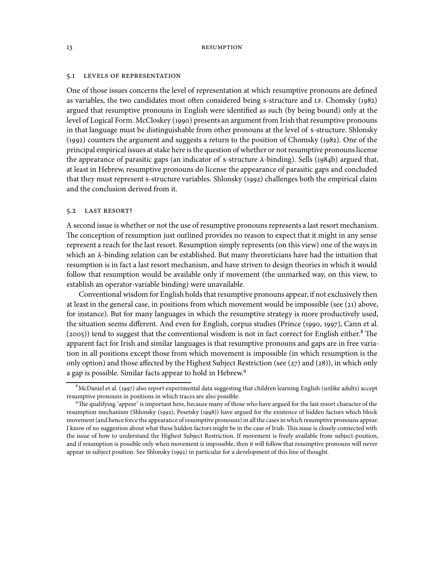#### 5.1 LEVELS OF REPRESENTATION

One of those issues concerns the level of representation at which resumptive pronouns are defined as variables, the two candidates most often considered being s-structure and  $LF$ . Chomsky  $(1982)$ argued that resumptive pronouns in English were identified as such (by being bound) only at the level of Logical Form. McCloskey (1990) presents an argument from Irish that resumptive pronouns in that language must be distinguishable from other pronouns at the level of s-structure. Shlonsky  $(1992)$  counters the argument and suggests a return to the position of Chomsky  $(1982)$ . One of the principal empirical issues at stake here is the question of whether or not resumptive pronouns license the appearance of parasitic gaps (an indicator of s-structure  $\bar{A}$ -binding). Sells (1984b) argued that, at least in Hebrew, resumptive pronouns do license the appearance of parasitic gaps and concluded that they must represent s-structure variables. Shlonsky (1992) challenges both the empirical claim and the conclusion derived from it.

# 5.2 LAST RESORT?

A second issue is whether or not the use of resumptive pronouns represents a last resort mechanism. The conception of resumption just outlined provides no reason to expect that it might in any sense represent a reach for the last resort. Resumption simply represents (on this view) one of the ways in which an  $\bar{A}$ -binding relation can be established. But many theoreticians have had the intuition that resumption is in fact a last resort mechanism, and have striven to design theories in which it would follow that resumption would be available only if movement (the unmarked way, on this view, to establish an operator-variable binding) were unavailable.

Conventional wisdom for English holds that resumptive pronouns appear, if not exclusively then at least in the general case, in positions from which movement would be impossible (see  $(21)$ ) above, for instance). But for many languages in which the resumptive strategy is more productively used, the situation seems different. And even for English, corpus studies (Prince (1990, 1997), Cann et al.  $(2005)$ ) tend to suggest that the conventional wisdom is not in fact correct for English either.<sup>8</sup> The apparent fact for Irish and similar languages is that resumptive pronouns and gaps are in free variation in all positions except those from which movement is impossible (in which resumption is the only option) and those affected by the Highest Subject Restriction (see  $(27)$  and  $(28)$ ), in which only a gap is possible. Similar facts appear to hold in Hebrew.

 $^8$ McDaniel et al. (1997) also report experimental data suggesting that children learning English (unlike adults) accept resumptive pronouns in positions in which traces are also possible.

<sup>&</sup>lt;sup>9</sup>The qualifying 'appear' is important here, because many of those who have argued for the last resort character of the resumption mechanism (Shlonsky (1992), Pesetsky (1998)) have argued for the existence of hidden factors which block movement (and hence force the appearance of resumptive pronouns) in all the cases in which resumptive pronouns appear. I know of no suggestion about what these hidden factors might be in the case of Irish. This issue is closely connected with the issue of how to understand the Highest Subject Restriction. If movement is freely available from subject-position, and if resumption is possible only when movement is impossible, then it will follow that resumptive pronouns will never appear in subject position. See Shlonsky (1992) in particular for a development of this line of thought.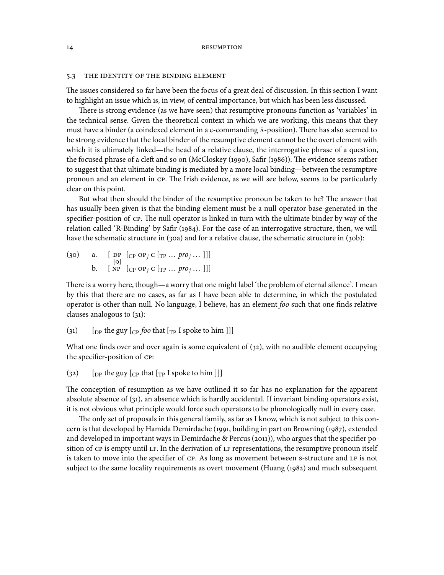#### 5.3 THE IDENTITY OF THE BINDING ELEMENT

The issues considered so far have been the focus of a great deal of discussion. In this section I want to highlight an issue which is, in view, of central importance, but which has been less discussed.

There is strong evidence (as we have seen) that resumptive pronouns function as 'variables' in the technical sense. Given the theoretical context in which we are working, this means that they must have a binder (a coindexed element in a c-commanding  $\bar{A}$ -position). There has also seemed to be strong evidence that the local binder of the resumptive element cannot be the overt element with which it is ultimately linked—the head of a relative clause, the interrogative phrase of a question, the focused phrase of a cleft and so on (McCloskey (1990), Safir (1986)). The evidence seems rather to suggest that that ultimate binding is mediated by a more local binding—between the resumptive pronoun and an element in CP. The Irish evidence, as we will see below, seems to be particularly clear on this point.

But what then should the binder of the resumptive pronoun be taken to be? The answer that has usually been given is that the binding element must be a null operator base-generated in the specifier-position of CP. The null operator is linked in turn with the ultimate binder by way of the relation called 'R-Binding' by Safir (1984). For the case of an interrogative structure, then, we will have the schematic structure in (30a) and for a relative clause, the schematic structure in (30b):

 $(30)$  a. [DP DP  $\left[\begin{smallmatrix}C\text{P} & \text{OP}\text{j} & \text{C}\end{smallmatrix}\right]$   $\left[\begin{smallmatrix}\text{TP} & \text{P} & \text{P}\text{PO}\text{j} & \text{P}\text{PO}\text{j}\end{smallmatrix}\right]$ b.  $[NP \ [CP \ OP_j \ C \ TP \ ... \ pro_j \ ... \ ]]$ 

There is a worry here, though—a worry that one might label 'the problem of eternal silence'. I mean by this that there are no cases, as far as I have been able to determine, in which the postulated operator is other than null. No language, I believe, has an element foo such that one finds relative clauses analogous to  $(31)$ :

(31)  $\left[\begin{array}{cc}$  [DP the guy  $\left[\begin{array}{cc}$  foo that  $\left[\begin{smallmatrix}T_P\end{array}\right]$  is poke to him  $\end{array}\right]\right]$ ]

What one finds over and over again is some equivalent of  $(32)$ , with no audible element occupying the specifier-position of CP:

(32)  $\left[$  [DP the guy  $\left[$   $\right]$  cp that  $\left[$   $\right]$   $\left[$   $\right]$  spoke to him  $\left[$   $\right]$ ]

The conception of resumption as we have outlined it so far has no explanation for the apparent absolute absence of  $(31)$ , an absence which is hardly accidental. If invariant binding operators exist, it is not obvious what principle would force such operators to be phonologically null in every case.

The only set of proposals in this general family, as far as I know, which is not subject to this concern is that developed by Hamida Demirdache (1991, building in part on Browning (1987), extended and developed in important ways in Demirdache & Percus (2011)), who argues that the specifier position of CP is empty until LF. In the derivation of LF representations, the resumptive pronoun itself is taken to move into the specifier of CP. As long as movement between s-structure and LF is not subject to the same locality requirements as overt movement (Huang (1982) and much subsequent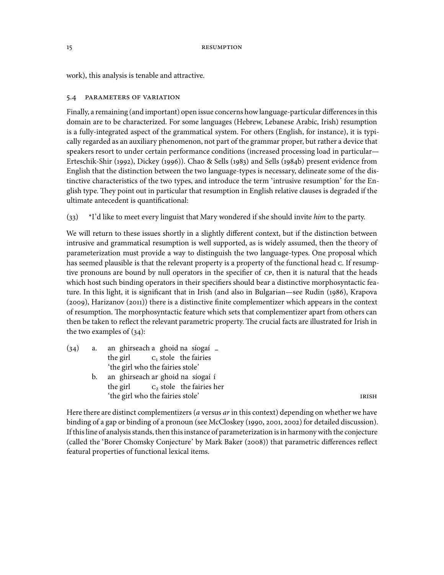work), this analysis is tenable and attractive.

# 5.4 PARAMETERS OF VARIATION

Finally, a remaining (and important) open issue concerns howlanguage-particular differences in this domain are to be characterized. For some languages (Hebrew, Lebanese Arabic, Irish) resumption is a fully-integrated aspect of the grammatical system. For others (English, for instance), it is typically regarded as an auxiliary phenomenon, not part of the grammar proper, but rather a device that speakers resort to under certain performance conditions (increased processing load in particular— Erteschik-Shir (1992), Dickey (1996)). Chao & Sells (1983) and Sells (1984b) present evidence from English that the distinction between the two language-types is necessary, delineate some of the distinctive characteristics of the two types, and introduce the term 'intrusive resumption' for the English type. They point out in particular that resumption in English relative clauses is degraded if the ultimate antecedent is quantificational:

 $(33)$  \*I'd like to meet every linguist that Mary wondered if she should invite *him* to the party.

We will return to these issues shortly in a slightly different context, but if the distinction between intrusive and grammatical resumption is well supported, as is widely assumed, then the theory of parameterization must provide a way to distinguish the two language-types. One proposal which has seemed plausible is that the relevant property is a property of the functional head c. If resumptive pronouns are bound by null operators in the specifier of CP, then it is natural that the heads which host such binding operators in their specifiers should bear a distinctive morphosyntactic feature. In this light, it is significant that in Irish (and also in Bulgarian—see Rudin (1986), Krapova  $(2009)$ , Harizanov  $(2011)$ ) there is a distinctive finite complementizer which appears in the context of resumption. The morphosyntactic feature which sets that complementizer apart from others can then be taken to reflect the relevant parametric property. The crucial facts are illustrated for Irish in the two examples of  $(34)$ :

- $(34)$  a. the girl ghirseach a ghoid na síogaí <sub>–</sub>  $C_1$  stole the fairies 'the girl who the fairies stole'
	- b. ) an ghirseach ar ghoid na síogaí í the girl C<sub>2</sub> stole the fairies her 'the girl who the fairies stole'

Here there are distinct complementizers ( $a$  versus  $ar$  in this context) depending on whether we have binding of a gap or binding of a pronoun (see McCloskey (1990, 2001, 2002) for detailed discussion). If this line of analysis stands, then this instance of parameterization is in harmony with the conjecture (called the 'Borer Chomsky Conjecture' by Mark Baker (2008)) that parametric differences reflect featural properties of functional lexical items.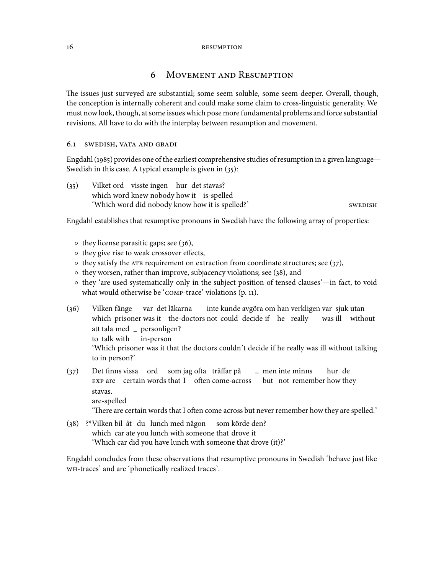# 6 MOVEMENT AND RESUMPTION

The issues just surveyed are substantial; some seem soluble, some seem deeper. Overall, though, the conception is internally coherent and could make some claim to cross-linguistic generality. We must now look, though, at some issues which pose more fundamental problems and force substantial revisions. All have to do with the interplay between resumption and movement.

## 6.1 SWEDISH, VATA AND GBADI

Engdahl (1985) provides one of the earliest comprehensive studies of resumption in a given language— Swedish in this case. A typical example is given in  $(35)$ :

(35) Vilket ord visste ingen hur det stavas? which word knew nobody how it is-spelled 'Which word did nobody know how it is spelled?'

Engdahl establishes that resumptive pronouns in Swedish have the following array of properties:

- $\circ$  they license parasitic gaps; see (36),
- they give rise to weak crossover effects,
- $\circ$  they satisfy the ATB requirement on extraction from coordinate structures; see (37),
- $\circ$  they worsen, rather than improve, subjacency violations; see (38), and
- they 'are used systematically only in the subject position of tensed clauses'—in fact, to void what would otherwise be 'COMP-trace' violations (p. 11).
- (36) Vilken fånge which prisoner was it the-doctors not could decide if he really var det läkarna inte kunde avgöra om han verkligen var sjuk utan was ill without att tala med **–** personligen? to talk with in-person 'Which prisoner was it that the doctors couldn't decide if he really was ill without talking to in person?'
- $(37)$ EXP are certain words that I often come-across finns vissa ord som jag ofta träffar på **–** men inte minns but not remember how they hur de stavas. are-spelled

'There are certain words that I often come across but never remember how they are spelled.'

(38) ?\*Vilken bil åt du lunch med någon which car ate you lunch with someone that drove it som körde den? 'Which car did you have lunch with someone that drove (it)?'

Engdahl concludes from these observations that resumptive pronouns in Swedish 'behave just like -traces' and are 'phonetically realized traces'.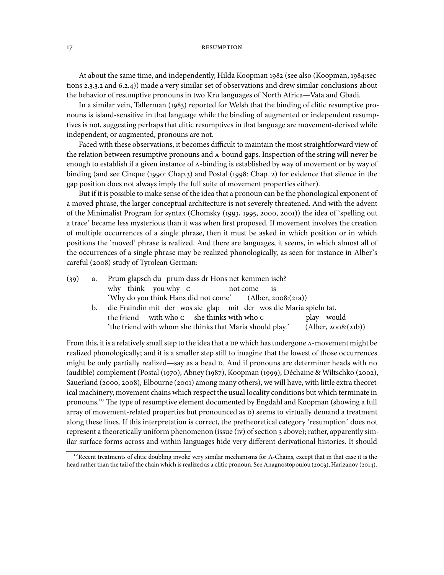At about the same time, and independently, Hilda Koopman 1982 (see also (Koopman, 1984:sections  $2.3.3.2$  and  $6.2.4$ ) made a very similar set of observations and drew similar conclusions about the behavior of resumptive pronouns in two Kru languages of North Africa—Vata and Gbadi.

In a similar vein, Tallerman  $(1983)$  reported for Welsh that the binding of clitic resumptive pronouns is island-sensitive in that language while the binding of augmented or independent resumptives is not, suggesting perhaps that clitic resumptives in that language are movement-derived while independent, or augmented, pronouns are not.

Faced with these observations, it becomes difficult to maintain the most straightforward view of the relation between resumptive pronouns and  $\bar{A}$ -bound gaps. Inspection of the string will never be enough to establish if a given instance of  $\bar{A}$ -binding is established by way of movement or by way of binding (and see Cinque (1990: Chap.3) and Postal (1998: Chap. 2) for evidence that silence in the gap position does not always imply the full suite of movement properties either).

But if it is possible to make sense of the idea that a pronoun can be the phonological exponent of a moved phrase, the larger conceptual architecture is not severely threatened. And with the advent of the Minimalist Program for syntax (Chomsky  $(1993, 1995, 2000, 2001)$ ) the idea of 'spelling out a trace' became less mysterious than it was when first proposed. If movement involves the creation of multiple occurrences of a single phrase, then it must be asked in which position or in which positions the 'moved' phrase is realized. And there are languages, it seems, in which almost all of the occurrences of a single phrase may be realized phonologically, as seen for instance in Alber's careful (2008) study of Tyrolean German:

| (39) | a. Prum glapsch du prum dass dr Hons net kemmen isch?                  |                     |  |  |  |  |  |
|------|------------------------------------------------------------------------|---------------------|--|--|--|--|--|
|      | why think you why c not come is                                        |                     |  |  |  |  |  |
|      | 'Why do you think Hans did not come' (Alber, 2008:(21a))               |                     |  |  |  |  |  |
|      | b. die Fraindin mit der wos sie glap mit der wos die Maria spieln tat. |                     |  |  |  |  |  |
|      | the friend with who c she thinks with who c                            | play would          |  |  |  |  |  |
|      | 'the friend with whom she thinks that Maria should play.'              | (Alber, 2008:(21b)) |  |  |  |  |  |

From this, it is a relatively small step to the idea that a DP which has undergone  $\bar{A}$ -movement might be realized phonologically; and it is a smaller step still to imagine that the lowest of those occurrences might be only partially realized—say as a head  $D$ . And if pronouns are determiner heads with no (audible) complement (Postal (1970), Abney (1987), Koopman (1999), Déchaine & Wiltschko (2002), Sauerland (2000, 2008), Elbourne (2001) among many others), we will have, with little extra theoretical machinery, movement chains which respect the usual locality conditions but which terminate in pronouns.<sup>10</sup> The type of resumptive element documented by Engdahl and Koopman (showing a full array of movement-related properties but pronounced as  $D$ ) seems to virtually demand a treatment along these lines. If this interpretation is correct, the pretheoretical category 'resumption' does not represent a theoretically uniform phenomenon (issue (iv) of section 3 above); rather, apparently similar surface forms across and within languages hide very different derivational histories. It should

<sup>&</sup>lt;sup>10</sup>Recent treatments of clitic doubling invoke very similar mechanisms for A-Chains, except that in that case it is the head rather than the tail of the chain which is realized as a clitic pronoun. See Anagnostopoulou (2003), Harizanov (2014).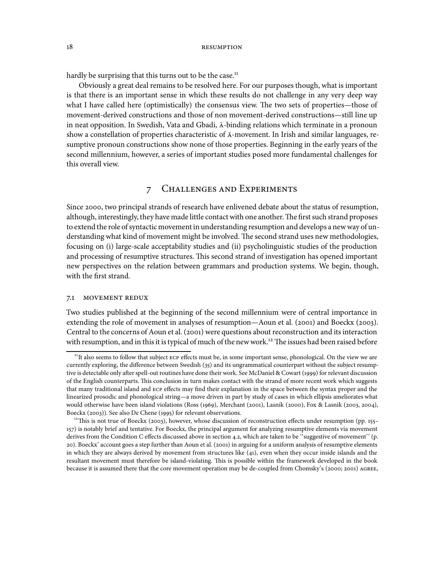hardly be surprising that this turns out to be the case.<sup>11</sup>

Obviously a great deal remains to be resolved here. For our purposes though, what is important is that there is an important sense in which these results do not challenge in any very deep way what I have called here (optimistically) the consensus view. The two sets of properties—those of movement-derived constructions and those of non movement-derived constructions—still line up in neat opposition. In Swedish, Vata and Gbadi,  $\bar{A}$ -binding relations which terminate in a pronoun show a constellation of properties characteristic of  $\bar{A}$ -movement. In Irish and similar languages, resumptive pronoun constructions show none of those properties. Beginning in the early years of the second millennium, however, a series of important studies posed more fundamental challenges for this overall view.

# 7 CHALLENGES AND EXPERIMENTS

Since 2000, two principal strands of research have enlivened debate about the status of resumption, although, interestingly, they have made little contact with one another. The first such strand proposes to extend the role of syntactic movement in understanding resumption and develops a new way of understanding what kind of movement might be involved. The second strand uses new methodologies, focusing on (i) large-scale acceptability studies and (ii) psycholinguistic studies of the production and processing of resumptive structures. This second strand of investigation has opened important new perspectives on the relation between grammars and production systems. We begin, though, with the first strand.

## 7.1 MOVEMENT REDUX

Two studies published at the beginning of the second millennium were of central importance in extending the role of movement in analyses of resumption—Aoun et al.  $(2001)$  and Boeckx  $(2003)$ . Central to the concerns of Aoun et al. (2001) were questions about reconstruction and its interaction with resumption, and in this it is typical of much of the new work.<sup>12</sup> The issues had been raised before

<sup>&</sup>lt;sup>11</sup>It also seems to follow that subject ECP effects must be, in some important sense, phonological. On the view we are currently exploring, the difference between Swedish (35) and its ungrammatical counterpart without the subject resumptive is detectable only after spell-out routines have done their work. See McDaniel & Cowart (1999) for relevant discussion of the English counterparts. This conclusion in turn makes contact with the strand of more recent work which suggests that many traditional island and ECP effects may find their explanation in the space between the syntax proper and the linearized prosodic and phonological string—a move driven in part by study of cases in which ellipsis ameliorates what would otherwise have been island violations (Ross (1969), Merchant (2001), Lasnik (2000), Fox & Lasnik (2003, 2004), Boeckx (2003)). See also De Chene (1995) for relevant observations.

<sup>&</sup>lt;sup>12</sup>This is not true of Boeckx (2003), however, whose discussion of reconstruction effects under resumption (pp. 155-) is notably brief and tentative. For Boeckx, the principal argument for analyzing resumptive elements via movement derives from the Condition C effects discussed above in section 4.2, which are taken to be "suggestive of movement" (p. 20). Boeckx' account goes a step further than Aoun et al. (2001) in arguing for a uniform analysis of resumptive elements in which they are always derived by movement from structures like  $(41)$ , even when they occur inside islands and the resultant movement must therefore be island-violating. This is possible within the framework developed in the book because it is assumed there that the core movement operation may be de-coupled from Chomsky's (2000; 2001) AGREE,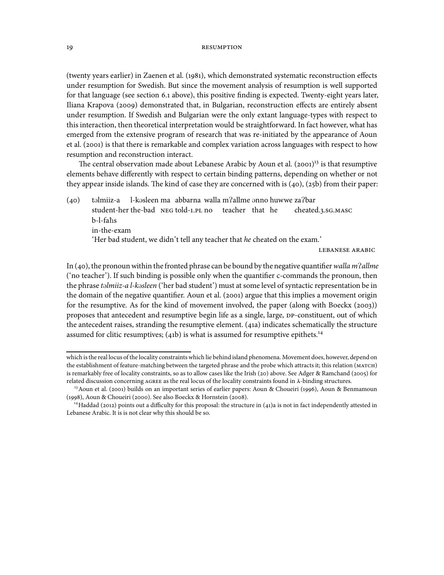(twenty years earlier) in Zaenen et al. (1981), which demonstrated systematic reconstruction effects under resumption for Swedish. But since the movement analysis of resumption is well supported for that language (see section 6.1 above), this positive finding is expected. Twenty-eight years later, Iliana Krapova (2009) demonstrated that, in Bulgarian, reconstruction effects are entirely absent under resumption. If Swedish and Bulgarian were the only extant language-types with respect to this interaction, then theoretical interpretation would be straightforward. In fact however, what has emerged from the extensive program of research that was re-initiated by the appearance of Aoun et al. (2001) is that there is remarkable and complex variation across languages with respect to how resumption and reconstruction interact.

The central observation made about Lebanese Arabic by Aoun et al.  $(2001)^{13}$  is that resumptive elements behave differently with respect to certain binding patterns, depending on whether or not they appear inside islands. The kind of case they are concerned with is  $(40)$ ,  $(25b)$  from their paper:

 $(40)$  təlmiiz-a student-her the-bad NEG told-1.PL no teacher that he l-kəsleen ma) abbarna walla m?allme ənno huwwe za?bar cheated.3.sG.MASC b-l-fahs in-the-exam 'Her bad student, we didn't tell any teacher that he cheated on the exam.'

LEBANESE ARABIC

In (40), the pronoun within the fronted phrase can be bound by the negative quantifier walla m?allme ('no teacher'). If such binding is possible only when the quantifier c-commands the pronoun, then the phrase talmiiz-a l-kasleen ('her bad student') must at some level of syntactic representation be in the domain of the negative quantifier. Aoun et al. (2001) argue that this implies a movement origin for the resumptive. As for the kind of movement involved, the paper (along with Boeckx  $(2003)$ ) proposes that antecedent and resumptive begin life as a single, large, DP-constituent, out of which the antecedent raises, stranding the resumptive element. (41a) indicates schematically the structure assumed for clitic resumptives;  $(41b)$  is what is assumed for resumptive epithets.<sup>14</sup>

which is the real locus of the locality constraints which lie behind island phenomena. Movement does, however, depend on the establishment of feature-matching between the targeted phrase and the probe which attracts it; this relation (MATCH) is remarkably free of locality constraints, so as to allow cases like the Irish (20) above. See Adger & Ramchand (2005) for related discussion concerning AGREE as the real locus of the locality constraints found in  $\bar{A}$ -binding structures.

<sup>&</sup>lt;sup>13</sup> Aoun et al. (2001) builds on an important series of earlier papers: Aoun & Choueiri (1996), Aoun & Benmamoun (1998), Aoun & Choueiri (2000). See also Boeckx & Hornstein (2008).

<sup>&</sup>lt;sup>14</sup>Haddad (2012) points out a difficulty for this proposal: the structure in (41)a is not in fact independently attested in Lebanese Arabic. It is is not clear why this should be so.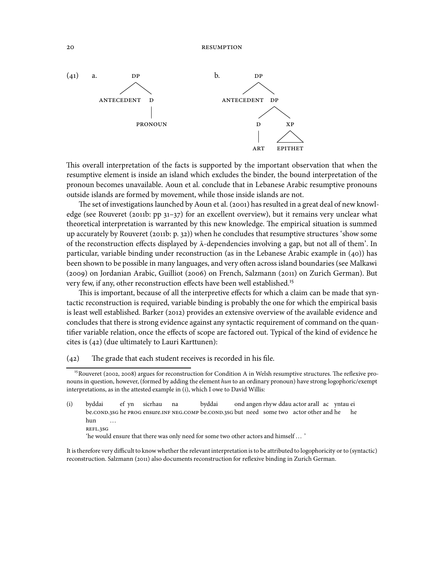

This overall interpretation of the facts is supported by the important observation that when the resumptive element is inside an island which excludes the binder, the bound interpretation of the pronoun becomes unavailable. Aoun et al. conclude that in Lebanese Arabic resumptive pronouns outside islands are formed by movement, while those inside islands are not.

The set of investigations launched by Aoun et al. (2001) has resulted in a great deal of new knowledge (see Rouveret (2011b: pp  $31-37$ ) for an excellent overview), but it remains very unclear what theoretical interpretation is warranted by this new knowledge. The empirical situation is summed up accurately by Rouveret  $(201b: p. 32)$  when he concludes that resumptive structures 'show some of the reconstruction effects displayed by  $\bar{A}$ -dependencies involving a gap, but not all of them'. In particular, variable binding under reconstruction (as in the Lebanese Arabic example in  $(40)$ ) has been shown to be possible in many languages, and very often across island boundaries (see Malkawi (2009) on Jordanian Arabic, Guilliot (2006) on French, Salzmann (2011) on Zurich German). But very few, if any, other reconstruction effects have been well established.

This is important, because of all the interpretive effects for which a claim can be made that syntactic reconstruction is required, variable binding is probably the one for which the empirical basis is least well established. Barker (2012) provides an extensive overview of the available evidence and concludes that there is strong evidence against any syntactic requirement of command on the quantifier variable relation, once the effects of scope are factored out. Typical of the kind of evidence he cites is  $(42)$  (due ultimately to Lauri Karttunen):

 $(42)$  The grade that each student receives is recorded in his file.

(i) byddai be.COND.3SG he PROG ensure.INF NEG.COMP be.COND.3SG but need some two actor other and he ef yn sicrhau na byddai ond angen rhyw ddau actor arall ac yntau ei he hun **REFL.3SG** ...

'he would ensure that there was only need for some two other actors and himself ... '

It is therefore very difficult to know whether the relevant interpretation is to be attributed to logophoricity or to (syntactic) reconstruction. Salzmann (2011) also documents reconstruction for reflexive binding in Zurich German.

<sup>&</sup>lt;sup>15</sup> Rouveret (2002, 2008) argues for reconstruction for Condition A in Welsh resumptive structures. The reflexive pronouns in question, however, (formed by adding the element hun to an ordinary pronoun) have strong logophoric/exempt interpretations, as in the attested example in (i), which I owe to David Willis: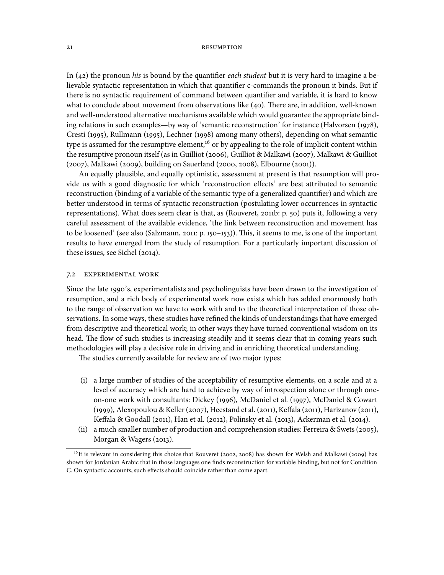In (42) the pronoun his is bound by the quantifier each student but it is very hard to imagine a believable syntactic representation in which that quantifier c-commands the pronoun it binds. But if there is no syntactic requirement of command between quantifier and variable, it is hard to know what to conclude about movement from observations like  $(40)$ . There are, in addition, well-known and well-understood alternative mechanisms available which would guarantee the appropriate binding relations in such examples—by way of 'semantic reconstruction' for instance (Halvorsen (1978), Cresti (1995), Rullmann (1995), Lechner (1998) among many others), depending on what semantic type is assumed for the resumptive element,<sup>16</sup> or by appealing to the role of implicit content within the resumptive pronoun itself (as in Guilliot (2006), Guilliot & Malkawi (2007), Malkawi & Guilliot (2007), Malkawi (2009), building on Sauerland (2000, 2008), Elbourne (2001)).

An equally plausible, and equally optimistic, assessment at present is that resumption will provide us with a good diagnostic for which 'reconstruction effects' are best attributed to semantic reconstruction (binding of a variable of the semantic type of a generalized quantifier) and which are better understood in terms of syntactic reconstruction (postulating lower occurrences in syntactic representations). What does seem clear is that, as (Rouveret, 2011b: p. 50) puts it, following a very careful assessment of the available evidence, 'the link between reconstruction and movement has to be loosened' (see also (Salzmann, 2011: p. 150–153)). This, it seems to me, is one of the important results to have emerged from the study of resumption. For a particularly important discussion of these issues, see Sichel  $(2014)$ .

## 7.2 EXPERIMENTAL WORK

Since the late 1990's, experimentalists and psycholinguists have been drawn to the investigation of resumption, and a rich body of experimental work now exists which has added enormously both to the range of observation we have to work with and to the theoretical interpretation of those observations. In some ways, these studies have refined the kinds of understandings that have emerged from descriptive and theoretical work; in other ways they have turned conventional wisdom on its head. The flow of such studies is increasing steadily and it seems clear that in coming years such methodologies will play a decisive role in driving and in enriching theoretical understanding.

The studies currently available for review are of two major types:

- (i) a large number of studies of the acceptability of resumptive elements, on a scale and at a level of accuracy which are hard to achieve by way of introspection alone or through oneon-one work with consultants: Dickey (1996), McDaniel et al. (1997), McDaniel & Cowart (1999), Alexopoulou & Keller (2007), Heestand et al. (2011), Keffala (2011), Harizanov (2011), Keffala & Goodall (2011), Han et al. (2012), Polinsky et al. (2013), Ackerman et al. (2014).
- (ii) a much smaller number of production and comprehension studies: Ferreira & Swets (2005), Morgan & Wagers (2013).

<sup>&</sup>lt;sup>16</sup>It is relevant in considering this choice that Rouveret (2002, 2008) has shown for Welsh and Malkawi (2009) has shown for Jordanian Arabic that in those languages one finds reconstruction for variable binding, but not for Condition C. On syntactic accounts, such effects should coincide rather than come apart.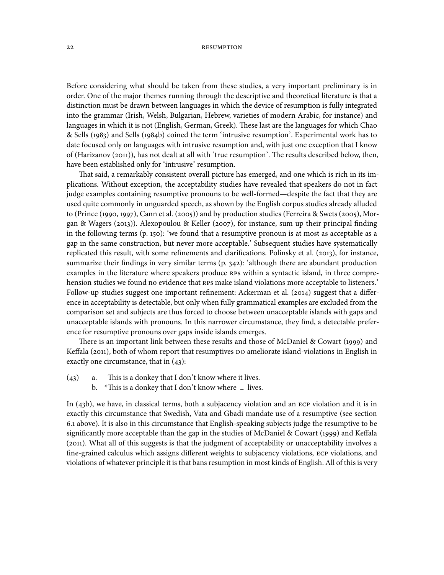Before considering what should be taken from these studies, a very important preliminary is in order. One of the major themes running through the descriptive and theoretical literature is that a distinction must be drawn between languages in which the device of resumption is fully integrated into the grammar (Irish, Welsh, Bulgarian, Hebrew, varieties of modern Arabic, for instance) and languages in which it is not (English, German, Greek). These last are the languages for which Chao & Sells (1983) and Sells (1984b) coined the term 'intrusive resumption'. Experimental work has to date focused only on languages with intrusive resumption and, with just one exception that I know of (Harizanov (2011)), has not dealt at all with 'true resumption'. The results described below, then, have been established only for 'intrusive' resumption.

That said, a remarkably consistent overall picture has emerged, and one which is rich in its implications. Without exception, the acceptability studies have revealed that speakers do not in fact judge examples containing resumptive pronouns to be well-formed—despite the fact that they are used quite commonly in unguarded speech, as shown by the English corpus studies already alluded to (Prince (1990, 1997), Cann et al. (2005)) and by production studies (Ferreira & Swets (2005), Morgan & Wagers (2013)). Alexopoulou & Keller (2007), for instance, sum up their principal finding in the following terms  $(p, 150)$ : 'we found that a resumptive pronoun is at most as acceptable as a gap in the same construction, but never more acceptable.' Subsequent studies have systematically replicated this result, with some refinements and clarifications. Polinsky et al.  $(2013)$ , for instance, summarize their findings in very similar terms (p. 342): 'although there are abundant production examples in the literature where speakers produce RPS within a syntactic island, in three comprehension studies we found no evidence that RPS make island violations more acceptable to listeners.' Follow-up studies suggest one important refinement: Ackerman et al.  $(2014)$  suggest that a difference in acceptability is detectable, but only when fully grammatical examples are excluded from the comparison set and subjects are thus forced to choose between unacceptable islands with gaps and unacceptable islands with pronouns. In this narrower circumstance, they find, a detectable preference for resumptive pronouns over gaps inside islands emerges.

There is an important link between these results and those of McDaniel  $\&$  Cowart (1999) and Keffala (2011), both of whom report that resumptives DO ameliorate island-violations in English in exactly one circumstance, that in  $(43)$ :

- $(43)$  a. This is a donkey that I don't know where it lives.
	- b. \*This is a donkey that I don't know where **–** lives.

In  $(43b)$ , we have, in classical terms, both a subjacency violation and an ECP violation and it is in exactly this circumstance that Swedish, Vata and Gbadi mandate use of a resumptive (see section . above). It is also in this circumstance that English-speaking subjects judge the resumptive to be significantly more acceptable than the gap in the studies of McDaniel & Cowart (1999) and Keffala (2011). What all of this suggests is that the judgment of acceptability or unacceptability involves a fine-grained calculus which assigns different weights to subjacency violations, ECP violations, and violations of whatever principle it is that bans resumption in most kinds of English. All of this is very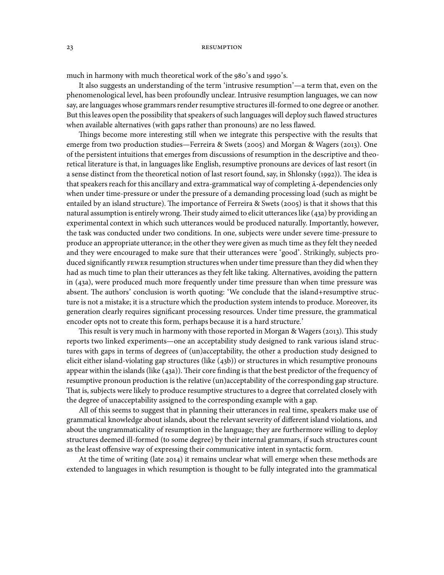much in harmony with much theoretical work of the 980's and 1990's.

It also suggests an understanding of the term 'intrusive resumption'—a term that, even on the phenomenological level, has been profoundly unclear. Intrusive resumption languages, we can now say, are languages whose grammars render resumptive structures ill-formed to one degree or another. But this leaves open the possibility that speakers of such languages will deploy such flawed structures when available alternatives (with gaps rather than pronouns) are no less flawed.

Things become more interesting still when we integrate this perspective with the results that emerge from two production studies—Ferreira & Swets (2005) and Morgan & Wagers (2013). One of the persistent intuitions that emerges from discussions of resumption in the descriptive and theoretical literature is that, in languages like English, resumptive pronouns are devices of last resort (in a sense distinct from the theoretical notion of last resort found, say, in Shlonsky (1992)). The idea is that speakers reach for this ancillary and extra-grammatical way of completing  $\bar{A}$ -dependencies only when under time-pressure or under the pressure of a demanding processing load (such as might be entailed by an island structure). The importance of Ferreira & Swets (2005) is that it shows that this natural assumption is entirely wrong. Their study aimed to elicit utterances like (43a) by providing an experimental context in which such utterances would be produced naturally. Importantly, however, the task was conducted under two conditions. In one, subjects were under severe time-pressure to produce an appropriate utterance; in the other they were given as much time as they felt they needed and they were encouraged to make sure that their utterances were 'good'. Strikingly, subjects produced significantly FEWER resumption structures when under time pressure than they did when they had as much time to plan their utterances as they felt like taking. Alternatives, avoiding the pattern in  $(43a)$ , were produced much more frequently under time pressure than when time pressure was absent. The authors' conclusion is worth quoting: 'We conclude that the island+resumptive structure is not a mistake; it is a structure which the production system intends to produce. Moreover, its generation clearly requires significant processing resources. Under time pressure, the grammatical encoder opts not to create this form, perhaps because it is a hard structure.'

This result is very much in harmony with those reported in Morgan & Wagers (2013). This study reports two linked experiments—one an acceptability study designed to rank various island structures with gaps in terms of degrees of (un)acceptability, the other a production study designed to elicit either island-violating gap structures (like  $(43b)$ ) or structures in which resumptive pronouns appear within the islands (like  $(43a)$ ). Their core finding is that the best predictor of the frequency of resumptive pronoun production is the relative (un)acceptability of the corresponding gap structure. That is, subjects were likely to produce resumptive structures to a degree that correlated closely with the degree of unacceptability assigned to the corresponding example with a gap.

All of this seems to suggest that in planning their utterances in real time, speakers make use of grammatical knowledge about islands, about the relevant severity of different island violations, and about the ungrammaticality of resumption in the language; they are furthermore willing to deploy structures deemed ill-formed (to some degree) by their internal grammars, if such structures count as the least offensive way of expressing their communicative intent in syntactic form.

At the time of writing (late 2014) it remains unclear what will emerge when these methods are extended to languages in which resumption is thought to be fully integrated into the grammatical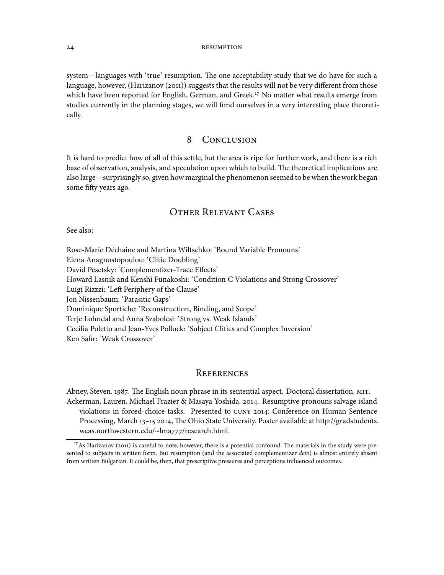system—languages with 'true' resumption. The one acceptability study that we do have for such a language, however, (Harizanov  $(2011)$ ) suggests that the results will not be very different from those which have been reported for English, German, and Greek.<sup>17</sup> No matter what results emerge from studies currently in the planning stages, we will fimd ourselves in a very interesting place theoretically.

# 8 CONCLUSION

It is hard to predict how of all of this settle, but the area is ripe for further work, and there is a rich base of observation, analysis, and speculation upon which to build. The theoretical implications are also large—surprisingly so, given how marginal the phenomenon seemed to be when the work began some fifty years ago.

# **OTHER RELEVANT CASES**

See also:

Rose-Marie Déchaine and Martina Wiltschko: 'Bound Variable Pronouns' Elena Anagnostopoulou: 'Clitic Doubling' David Pesetsky: 'Complementizer-Trace Effects' Howard Lasnik and Kenshi Funakoshi: 'Condition C Violations and Strong Crossover' Luigi Rizzzi: 'Left Periphery of the Clause' Jon Nissenbaum: 'Parasitic Gaps' Dominique Sportiche: 'Reconstruction, Binding, and Scope' Terje Lohndal and Anna Szabolcsi: 'Strong vs. Weak Islands' Cecilia Poletto and Jean-Yves Pollock: 'Subject Clitics and Complex Inversion' Ken Safir: 'Weak Crossover'

# **REFERENCES**

Abney, Steven. 1987. The English noun phrase in its sentential aspect. Doctoral dissertation, MIT. Ackerman, Lauren, Michael Frazier & Masaya Yoshida. 2014. Resumptive pronouns salvage island violations in forced-choice tasks. Presented to CUNY 2014: Conference on Human Sentence Processing, March 13-15 2014, The Ohio State University. Poster available at http://gradstudents. wcas.northwestern.edu/~lma777/research.html.

<sup>&</sup>lt;sup>17</sup>As Harizanov (2011) is careful to note, however, there is a potential confound. The materials in the study were presented to subjects in written form. But resumption (and the associated complementizer deto) is almost entirely absent from written Bulgarian. It could be, then, that prescriptive pressures and perceptions influenced outcomes.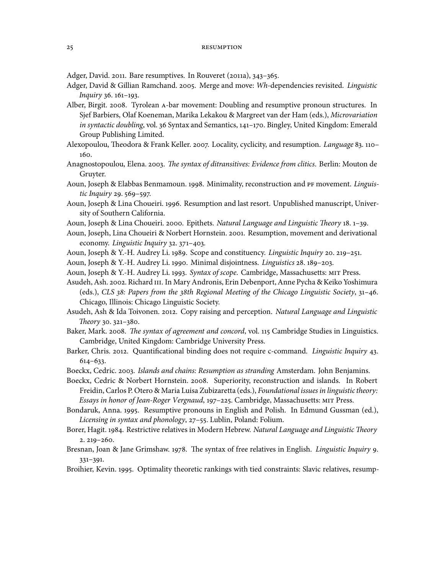Adger, David. 2011. Bare resumptives. In Rouveret (2011a), 343-365.

- Adger, David & Gillian Ramchand. 2005. Merge and move: Wh-dependencies revisited. Linguistic Inquiry 36. 161-193.
- Alber, Birgit. 2008. Tyrolean A-bar movement: Doubling and resumptive pronoun structures. In Sjef Barbiers, Olaf Koeneman, Marika Lekakou & Margreet van der Ham (eds.), Microvariation in syntactic doubling, vol. 36 Syntax and Semantics, 141-170. Bingley, United Kingdom: Emerald Group Publishing Limited.
- Alexopoulou, Theodora & Frank Keller. 2007. Locality, cyclicity, and resumption. Language 83. 110-160.
- Anagnostopoulou, Elena. 2003. The syntax of ditransitives: Evidence from clitics. Berlin: Mouton de Gruyter.
- Aoun, Joseph & Elabbas Benmamoun. 1998. Minimality, reconstruction and PF movement. Linguis $tic$  Inquiry 29.  $569 - 597$ .
- Aoun, Joseph & Lina Choueiri. 1996. Resumption and last resort. Unpublished manuscript, University of Southern California.
- Aoun, Joseph & Lina Choueiri. 2000. Epithets. Natural Language and Linguistic Theory 18. 1-39.
- Aoun, Joseph, Lina Choueiri & Norbert Hornstein. 2001. Resumption, movement and derivational economy. Linguistic Inquiry 32. 371-403.
- Aoun, Joseph & Y.-H. Audrey Li. 1989. Scope and constituency. Linguistic Inquiry 20. 219-251.
- Aoun, Joseph & Y.-H. Audrey Li. 1990. Minimal disjointness. Linguistics 28. 189-203.
- Aoun, Joseph & Y.-H. Audrey Li. 1993. Syntax of scope. Cambridge, Massachusetts: MIT Press.
- Asudeh, Ash. 2002. Richard III. In Mary Andronis, Erin Debenport, Anne Pycha & Keiko Yoshimura (eds.), CLS  $38$ : Papers from the  $38$ th Regional Meeting of the Chicago Linguistic Society,  $31-46$ . Chicago, Illinois: Chicago Linguistic Society.
- Asudeh, Ash & Ida Toivonen. 2012. Copy raising and perception. Natural Language and Linguistic Theory 30.  $321 - 380$ .
- Baker, Mark. 2008. The syntax of agreement and concord, vol. 115 Cambridge Studies in Linguistics. Cambridge, United Kingdom: Cambridge University Press.
- Barker, Chris. 2012. Quantificational binding does not require c-command. Linguistic Inquiry 43.  $614 - 633.$
- Boeckx, Cedric. 2003. Islands and chains: Resumption as stranding Amsterdam. John Benjamins.
- Boeckx, Cedric & Norbert Hornstein. 2008. Superiority, reconstruction and islands. In Robert Freidin, Carlos P. Otero & Maria Luisa Zubizaretta (eds.), Foundational issues in linguistic theory: Essays in honor of Jean-Roger Vergnaud, 197-225. Cambridge, Massachusetts: MIT Press.
- Bondaruk, Anna. 1995. Resumptive pronouns in English and Polish. In Edmund Gussman (ed.), Licensing in syntax and phonology, 27-55. Lublin, Poland: Folium.
- Borer, Hagit. 1984. Restrictive relatives in Modern Hebrew. Natural Language and Linguistic Theory  $2.219 - 260.$
- Bresnan, Joan & Jane Grimshaw. 1978. The syntax of free relatives in English. *Linguistic Inquiry* 9.  $331 - 391.$
- Broihier, Kevin. 1995. Optimality theoretic rankings with tied constraints: Slavic relatives, resump-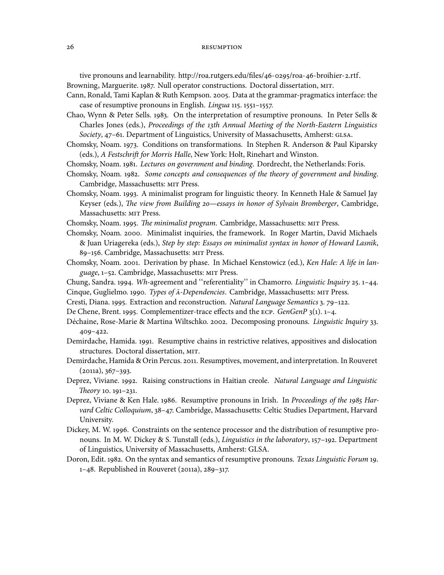tive pronouns and learnability. http://roa.rutgers.edu/files/46-0295/roa-46-broihier-2.rtf. Browning, Marguerite. 1987. Null operator constructions. Doctoral dissertation, MIT.

Cann, Ronald, Tami Kaplan & Ruth Kempson. 2005. Data at the grammar-pragmatics interface: the case of resumptive pronouns in English. Lingua 115. 1551-1557.

Chao, Wynn & Peter Sells. 1983. On the interpretation of resumptive pronouns. In Peter Sells & Charles Jones (eds.), Proceedings of the 13th Annual Meeting of the North-Eastern Linguistics Society, 47-61. Department of Linguistics, University of Massachusetts, Amherst: GLSA.

- Chomsky, Noam. 1973. Conditions on transformations. In Stephen R. Anderson & Paul Kiparsky (eds.), A Festschrift for Morris Halle, New York: Holt, Rinehart and Winston.
- Chomsky, Noam. 1981. Lectures on government and binding. Dordrecht, the Netherlands: Foris.
- Chomsky, Noam. 1982. Some concepts and consequences of the theory of government and binding. Cambridge, Massachusetts: MIT Press.
- Chomsky, Noam. 1993. A minimalist program for linguistic theory. In Kenneth Hale & Samuel Jay Keyser (eds.), The view from Building 20-essays in honor of Sylvain Bromberger, Cambridge, Massachusetts: MIT Press.
- Chomsky, Noam. 1995. The minimalist program. Cambridge, Massachusetts: MIT Press.
- Chomsky, Noam. 2000. Minimalist inquiries, the framework. In Roger Martin, David Michaels & Juan Uriagereka (eds.), Step by step: Essays on minimalist syntax in honor of Howard Lasnik, 89-156. Cambridge, Massachusetts: MIT Press.
- Chomsky, Noam. 2001. Derivation by phase. In Michael Kenstowicz (ed.), Ken Hale: A life in language, 1-52. Cambridge, Massachusetts: MIT Press.
- Chung, Sandra. 1994. Wh-agreement and "referentiality" in Chamorro. Linguistic Inquiry 25. 1-44. Cinque, Guglielmo. 1990. Types of  $\overline{A}$ -Dependencies. Cambridge, Massachusetts: MIT Press.
- Cresti, Diana. 1995. Extraction and reconstruction. Natural Language Semantics 3. 79-122.
- De Chene, Brent. 1995. Complementizer-trace effects and the ECP. GenGenP 3(1). 1-4.
- Déchaine, Rose-Marie & Martina Wiltschko. 2002. Decomposing pronouns. Linguistic Inquiry 33.  $409 - 422.$
- Demirdache, Hamida. 1991. Resumptive chains in restrictive relatives, appositives and dislocation structures. Doctoral dissertation, MIT.
- Demirdache, Hamida & Orin Percus. 2011. Resumptives, movement, and interpretation. In Rouveret  $(2011a), 367-393.$
- Deprez, Viviane. 1992. Raising constructions in Haitian creole. Natural Language and Linguistic Theory 10. 191-231.
- Deprez, Viviane & Ken Hale. 1986. Resumptive pronouns in Irish. In Proceedings of the 1985 Harvard Celtic Colloquium, 38-47. Cambridge, Massachusetts: Celtic Studies Department, Harvard University.
- Dickey, M. W. 1996. Constraints on the sentence processor and the distribution of resumptive pronouns. In M. W. Dickey & S. Tunstall (eds.), *Linguistics in the laboratory*, 157-192. Department of Linguistics, University of Massachusetts, Amherst: GLSA.
- Doron, Edit. 1982. On the syntax and semantics of resumptive pronouns. Texas Linguistic Forum 19.  $1-48$ . Republished in Rouveret (2011a), 289-317.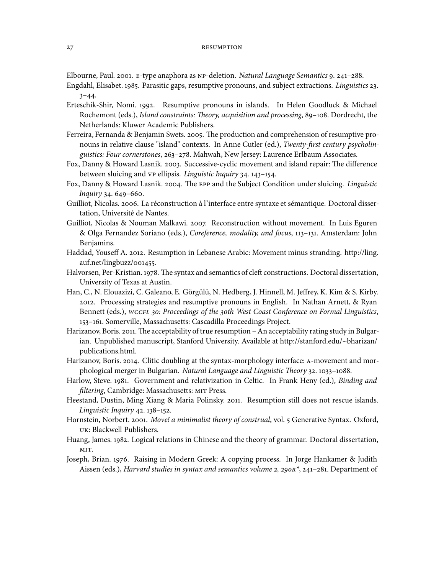Elbourne, Paul. 2001. E-type anaphora as NP-deletion. Natural Language Semantics 9. 241-288.

- Engdahl, Elisabet. 1985. Parasitic gaps, resumptive pronouns, and subject extractions. Linguistics 23.  $3 - 44.$
- Erteschik-Shir, Nomi. 1992. Resumptive pronouns in islands. In Helen Goodluck & Michael Rochemont (eds.), Island constraints: Theory, acquisition and processing, 89-108. Dordrecht, the Netherlands: Kluwer Academic Publishers.
- Ferreira, Fernanda & Benjamin Swets. 2005. The production and comprehension of resumptive pronouns in relative clause "island" contexts. In Anne Cutler (ed.), Twenty-first century psycholinguistics: Four cornerstones, 263-278. Mahwah, New Jersey: Laurence Erlbaum Associates.
- Fox, Danny & Howard Lasnik. 2003. Successive-cyclic movement and island repair: The difference between sluicing and vp ellipsis. Linguistic Inquiry 34. 143-154.
- Fox, Danny & Howard Lasnik. 2004. The EPP and the Subject Condition under sluicing. Linguistic  $In a. 44.649 - 660.$
- Guilliot, Nicolas. 2006. La réconstruction à l'interface entre syntaxe et sémantique. Doctoral dissertation, Université de Nantes.
- Guilliot, Nicolas & Nouman Malkawi. 2007. Reconstruction without movement. In Luis Eguren & Olga Fernandez Soriano (eds.), Coreference, modality, and focus, 113-131. Amsterdam: John Benjamins.
- Haddad, Youseff A. 2012. Resumption in Lebanese Arabic: Movement minus stranding. http://ling. auf.net/lingbuzz/001455.
- Halvorsen, Per-Kristian. 1978. The syntax and semantics of cleft constructions. Doctoral dissertation, University of Texas at Austin.
- Han, C., N. Elouazizi, C. Galeano, E. Görgülü, N. Hedberg, J. Hinnell, M. Jeffrey, K. Kim & S. Kirby. . Processing strategies and resumptive pronouns in English. In Nathan Arnett, & Ryan Bennett (eds.), WCCFL 30: Proceedings of the 30th West Coast Conference on Formal Linguistics, 153-161. Somerville, Massachusetts: Cascadilla Proceedings Project.
- Harizanov, Boris. 2011. The acceptability of true resumption An acceptability rating study in Bulgarian. Unpublished manuscript, Stanford University. Available at http://stanford.edu/~bharizan/ publications.html.
- Harizanov, Boris. 2014. Clitic doubling at the syntax-morphology interface: A-movement and morphological merger in Bulgarian. Natural Language and Linguistic Theory 32. 1033-1088.
- Harlow, Steve. 1981. Government and relativization in Celtic. In Frank Heny (ed.), Binding and filtering, Cambridge: Massachusetts: MIT Press.
- Heestand, Dustin, Ming Xiang & Maria Polinsky. 2011. Resumption still does not rescue islands. Linguistic Inquiry 42. 138-152.
- Hornstein, Norbert. 2001. Move! a minimalist theory of construal, vol. 5 Generative Syntax. Oxford, : Blackwell Publishers.
- Huang, James. 1982. Logical relations in Chinese and the theory of grammar. Doctoral dissertation, MIT.
- Joseph, Brian. 1976. Raising in Modern Greek: A copying process. In Jorge Hankamer & Judith Aissen (eds.), Harvard studies in syntax and semantics volume 2, 290 $R^*$ , 241-281. Department of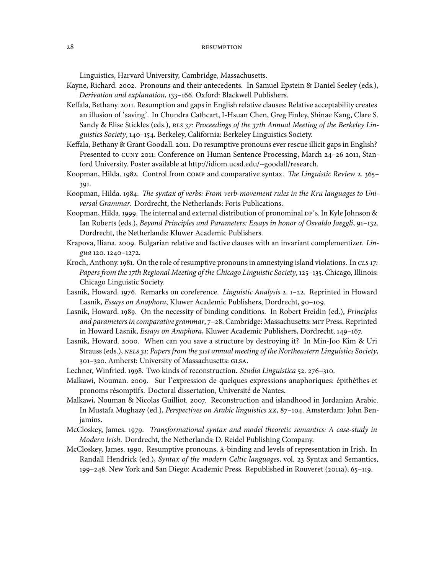Linguistics, Harvard University, Cambridge, Massachusetts.

- Kayne, Richard. 2002. Pronouns and their antecedents. In Samuel Epstein & Daniel Seeley (eds.), Derivation and explanation, 133-166. Oxford: Blackwell Publishers.
- Keffala, Bethany. 2011. Resumption and gaps in English relative clauses: Relative acceptability creates an illusion of 'saving'. In Chundra Cathcart, I-Hsuan Chen, Greg Finley, Shinae Kang, Clare S. Sandy & Elise Stickles (eds.), BLS 37: Proceedings of the 37th Annual Meeting of the Berkeley Linguistics Society, 140-154. Berkeley, California: Berkeley Linguistics Society.
- Keffala, Bethany & Grant Goodall. 2011. Do resumptive pronouns ever rescue illicit gaps in English? Presented to CUNY 2011: Conference on Human Sentence Processing, March 24-26 2011, Stanford University. Poster available at http://idiom.ucsd.edu/~goodall/research.
- Koopman, Hilda. 1982. Control from COMP and comparative syntax. The Linguistic Review 2. 365-391.
- Koopman, Hilda. 1984. The syntax of verbs: From verb-movement rules in the Kru languages to Universal Grammar. Dordrecht, the Netherlands: Foris Publications.
- Koopman, Hilda. 1999. The internal and external distribution of pronominal DP's. In Kyle Johnson & Ian Roberts (eds.), Beyond Principles and Parameters: Essays in honor of Osvaldo Jaeggli, 91–132. Dordrecht, the Netherlands: Kluwer Academic Publishers.
- Krapova, Iliana. 2009. Bulgarian relative and factive clauses with an invariant complementizer. Lingua 120. 1240-1272.
- Kroch, Anthony. 1981. On the role of resumptive pronouns in amnestying island violations. In CLS 17: Papers from the 17th Regional Meeting of the Chicago Linguistic Society, 125-135. Chicago, Illinois: Chicago Linguistic Society.
- Lasnik, Howard. 1976. Remarks on coreference. *Linguistic Analysis* 2. 1-22. Reprinted in Howard Lasnik, Essays on Anaphora, Kluwer Academic Publishers, Dordrecht, 90-109.
- Lasnik, Howard. 1989. On the necessity of binding conditions. In Robert Freidin (ed.), Principles and parameters in comparative grammar, 7-28. Cambridge: Massachusetts: MIT Press. Reprinted in Howard Lasnik, Essays on Anaphora, Kluwer Academic Publishers, Dordrecht, 149-167.
- Lasnik, Howard. 2000. When can you save a structure by destroying it? In Min-Joo Kim & Uri Strauss (eds.), NELS 31: Papers from the 31st annual meeting of the Northeastern Linguistics Society, 301-320. Amherst: University of Massachusetts: GLSA.
- Lechner, Winfried. 1998. Two kinds of reconstruction. Studia Linguistica 52. 276-310.
- Malkawi, Nouman. 2009. Sur l'expression de quelques expressions anaphoriques: épithèthes et pronoms résomptifs. Doctoral dissertation, Université de Nantes.
- Malkawi, Nouman & Nicolas Guilliot. 2007. Reconstruction and islandhood in Jordanian Arabic. In Mustafa Mughazy (ed.), Perspectives on Arabic linguistics xx, 87-104. Amsterdam: John Benjamins.
- McCloskey, James. 1979. Transformational syntax and model theoretic semantics: A case-study in Modern Irish. Dordrecht, the Netherlands: D. Reidel Publishing Company.
- McCloskey, James. 1990. Resumptive pronouns,  $\bar{A}$ -binding and levels of representation in Irish. In Randall Hendrick (ed.), Syntax of the modern Celtic languages, vol. 23 Syntax and Semantics, 199–248. New York and San Diego: Academic Press. Republished in Rouveret (2011a), 65–119.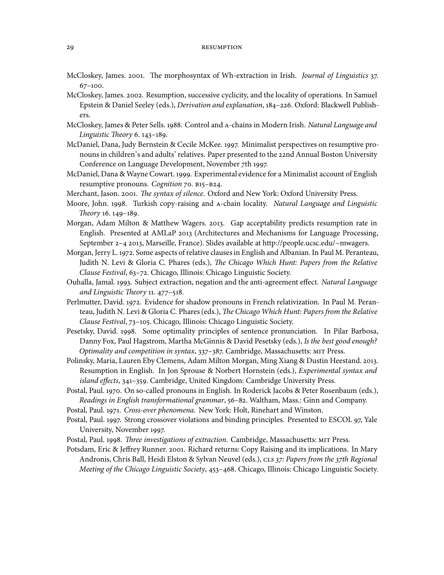- McCloskey, James. 2001. The morphosyntax of Wh-extraction in Irish. Journal of Linguistics 37.  $67-100.$
- McCloskey, James. 2002. Resumption, successive cyclicity, and the locality of operations. In Samuel Epstein & Daniel Seeley (eds.), *Derivation and explanation*, 184-226. Oxford: Blackwell Publishers.
- McCloskey, James & Peter Sells. 1988. Control and A-chains in Modern Irish. Natural Language and Linguistic Theory  $6.143-189$ .
- McDaniel, Dana, Judy Bernstein & Cecile McKee. 1997. Minimalist perspectives on resumptive pronouns in children's and adults' relatives. Paper presented to the 22nd Annual Boston University Conference on Language Development, November 7th 1997.
- McDaniel, Dana & Wayne Cowart. 1999. Experimental evidence for a Minimalist account of English resumptive pronouns. Cognition 70. B15-B24.
- Merchant, Jason. 2001. The syntax of silence. Oxford and New York: Oxford University Press.
- Moore, John. 1998. Turkish copy-raising and A-chain locality. Natural Language and Linguistic Theory 16. 149-189.
- Morgan, Adam Milton & Matthew Wagers. 2013. Gap acceptability predicts resumption rate in English. Presented at AMLaP 2013 (Architectures and Mechanisms for Language Processing, September 2–4 2013, Marseille, France). Slides available at http://people.ucsc.edu/~mwagers.
- Morgan, Jerry L. 1972. Some aspects of relative clauses in English and Albanian. In Paul M. Peranteau, Judith N. Levi & Gloria C. Phares (eds.), The Chicago Which Hunt: Papers from the Relative Clause Festival, 63-72. Chicago, Illinois: Chicago Linguistic Society.
- Ouhalla, Jamal. 1993. Subject extraction, negation and the anti-agreement effect. Natural Language and Linguistic Theory 11. 477-518.
- Perlmutter, David. 1972. Evidence for shadow pronouns in French relativization. In Paul M. Peranteau, Judith N. Levi & Gloria C. Phares (eds.), The Chicago Which Hunt: Papers from the Relative Clause Festival, 73-105. Chicago, Illinois: Chicago Linguistic Society.
- Pesetsky, David. 1998. Some optimality principles of sentence pronunciation. In Pilar Barbosa, Danny Fox, Paul Hagstrom, Martha McGinnis & David Pesetsky (eds.), Is the best good enough? Optimality and competition in syntax, 337-387. Cambridge, Massachusetts: MIT Press.
- Polinsky, Maria, Lauren Eby Clemens, Adam Milton Morgan, Ming Xiang & Dustin Heestand. 2013. Resumption in English. In Jon Sprouse & Norbert Hornstein (eds.), Experimental syntax and island effects, 341-359. Cambridge, United Kingdom: Cambridge University Press.
- Postal, Paul. 1970. On so-called pronouns in English. In Roderick Jacobs & Peter Rosenbaum (eds.), Readings in English transformational grammar, 56-82. Waltham, Mass.: Ginn and Company.
- Postal, Paul. 1971. Cross-over phenomena. New York: Holt, Rinehart and Winston.
- Postal, Paul. 1997. Strong crossover violations and binding principles. Presented to ESCOL 97, Yale University, November 1997.
- Postal, Paul. 1998. Three investigations of extraction. Cambridge, Massachusetts: MIT Press.
- Potsdam, Eric & Jeffrey Runner. 2001. Richard returns: Copy Raising and its implications. In Mary Andronis, Chris Ball, Heidi Elston & Sylvan Neuvel (eds.), CLS 37: Papers from the 37th Regional Meeting of the Chicago Linguistic Society, 453-468. Chicago, Illinois: Chicago Linguistic Society.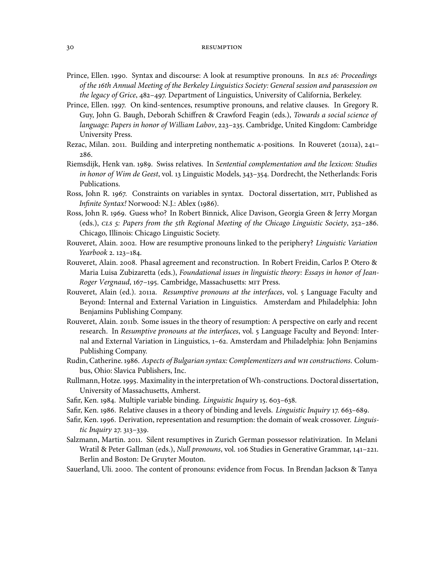- Prince, Ellen. 1990. Syntax and discourse: A look at resumptive pronouns. In BLS 16: Proceedings of the th Annual Meeting of the Berkeley Linguistics Society: General session and parasession on the legacy of Grice, 482-497. Department of Linguistics, University of California, Berkeley.
- Prince, Ellen. 1997. On kind-sentences, resumptive pronouns, and relative clauses. In Gregory R. Guy, John G. Baugh, Deborah Schiffren & Crawford Feagin (eds.), Towards a social science of language: Papers in honor of William Labov, 223–235. Cambridge, United Kingdom: Cambridge University Press.
- Rezac, Milan. 2011. Building and interpreting nonthematic A-positions. In Rouveret (2011a), 241-286.
- Riemsdijk, Henk van. 1989. Swiss relatives. In Sentential complementation and the lexicon: Studies in honor of Wim de Geest, vol. 13 Linguistic Models, 343-354. Dordrecht, the Netherlands: Foris Publications.
- Ross, John R. 1967. Constraints on variables in syntax. Doctoral dissertation, MIT, Published as Infinite Syntax! Norwood: N.J.: Ablex (1986).
- Ross, John R. 1969. Guess who? In Robert Binnick, Alice Davison, Georgia Green & Jerry Morgan (eds.),  $CLS$  5: Papers from the 5th Regional Meeting of the Chicago Linguistic Society, 252-286. Chicago, Illinois: Chicago Linguistic Society.
- Rouveret, Alain. 2002. How are resumptive pronouns linked to the periphery? Linguistic Variation Yearbook 2. 123-184.
- Rouveret, Alain. 2008. Phasal agreement and reconstruction. In Robert Freidin, Carlos P. Otero & Maria Luisa Zubizaretta (eds.), Foundational issues in linguistic theory: Essays in honor of Jean-Roger Vergnaud, 167-195. Cambridge, Massachusetts: MIT Press.
- Rouveret, Alain (ed.). 2011a. Resumptive pronouns at the interfaces, vol. 5 Language Faculty and Beyond: Internal and External Variation in Linguistics. Amsterdam and Philadelphia: John Benjamins Publishing Company.
- Rouveret, Alain. 2011b. Some issues in the theory of resumption: A perspective on early and recent research. In Resumptive pronouns at the interfaces, vol. 5 Language Faculty and Beyond: Internal and External Variation in Linguistics, 1-62. Amsterdam and Philadelphia: John Benjamins Publishing Company.
- Rudin, Catherine. 1986. Aspects of Bulgarian syntax: Complementizers and WH constructions. Columbus, Ohio: Slavica Publishers, Inc.
- Rullmann, Hotze. 1995. Maximality in the interpretation of Wh-constructions. Doctoral dissertation, University of Massachusetts, Amherst.
- Safir, Ken. 1984. Multiple variable binding. Linguistic Inquiry 15. 603-638.
- Safir, Ken. 1986. Relative clauses in a theory of binding and levels. Linguistic Inquiry 17. 663-689.
- Safir, Ken. 1996. Derivation, representation and resumption: the domain of weak crossover. Linguistic Inquiry 27. 313-339.
- Salzmann, Martin. 2011. Silent resumptives in Zurich German possessor relativization. In Melani Wratil & Peter Gallman (eds.), Null pronouns, vol. 106 Studies in Generative Grammar, 141-221. Berlin and Boston: De Gruyter Mouton.
- Sauerland, Uli. 2000. The content of pronouns: evidence from Focus. In Brendan Jackson & Tanya